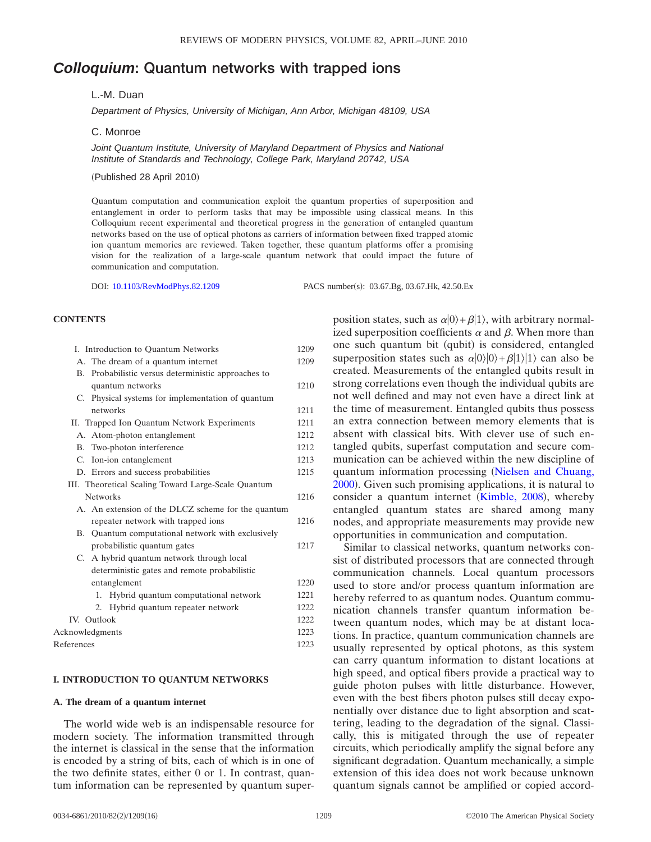# *Colloquium***: Quantum networks with trapped ions**

# L.-M. Duan

*Department of Physics, University of Michigan, Ann Arbor, Michigan 48109, USA*

C. Monroe

*Joint Quantum Institute, University of Maryland Department of Physics and National Institute of Standards and Technology, College Park, Maryland 20742, USA*

(Published 28 April 2010)

Quantum computation and communication exploit the quantum properties of superposition and entanglement in order to perform tasks that may be impossible using classical means. In this Colloquium recent experimental and theoretical progress in the generation of entangled quantum networks based on the use of optical photons as carriers of information between fixed trapped atomic ion quantum memories are reviewed. Taken together, these quantum platforms offer a promising vision for the realization of a large-scale quantum network that could impact the future of communication and computation.

DOI: [10.1103/RevModPhys.82.1209](http://dx.doi.org/10.1103/RevModPhys.82.1209)

PACS number(s): 03.67.Bg, 03.67.Hk, 42.50.Ex

## **CONTENTS**

| I. Introduction to Quantum Networks                 | 1209 |
|-----------------------------------------------------|------|
| A. The dream of a quantum internet                  | 1209 |
| B. Probabilistic versus deterministic approaches to |      |
| quantum networks                                    | 1210 |
| C. Physical systems for implementation of quantum   |      |
| networks                                            | 1211 |
| II. Trapped Ion Quantum Network Experiments         | 1211 |
| A. Atom-photon entanglement                         | 1212 |
| B. Two-photon interference                          | 1212 |
| C. Ion-ion entanglement                             | 1213 |
| D. Errors and success probabilities                 | 1215 |
| III. Theoretical Scaling Toward Large-Scale Quantum |      |
| <b>Networks</b>                                     | 1216 |
| A. An extension of the DLCZ scheme for the quantum  |      |
| repeater network with trapped ions                  | 1216 |
| B. Quantum computational network with exclusively   |      |
| probabilistic quantum gates                         | 1217 |
| C. A hybrid quantum network through local           |      |
| deterministic gates and remote probabilistic        |      |
| entanglement                                        | 1220 |
| Hybrid quantum computational network<br>1.          | 1221 |
| 2. Hybrid quantum repeater network                  | 1222 |
| IV. Outlook                                         | 1222 |
| Acknowledgments                                     | 1223 |
| References                                          | 1223 |

## **I. INTRODUCTION TO QUANTUM NETWORKS**

# **A. The dream of a quantum internet**

The world wide web is an indispensable resource for modern society. The information transmitted through the internet is classical in the sense that the information is encoded by a string of bits, each of which is in one of the two definite states, either 0 or 1. In contrast, quantum information can be represented by quantum super-

position states, such as  $\alpha|0\rangle + \beta|1\rangle$ , with arbitrary normalized superposition coefficients  $\alpha$  and  $\beta$ . When more than one such quantum bit (qubit) is considered, entangled superposition states such as  $\alpha|0\rangle|0\rangle + \beta|1\rangle|1\rangle$  can also be created. Measurements of the entangled qubits result in strong correlations even though the individual qubits are not well defined and may not even have a direct link at the time of measurement. Entangled qubits thus possess an extra connection between memory elements that is absent with classical bits. With clever use of such entangled qubits, superfast computation and secure communication can be achieved within the new discipline of quantum information processing ([Nielsen and Chuang,](#page--1-0) [2000](#page--1-0)). Given such promising applications, it is natural to consider a quantum internet ([Kimble, 2008](#page--1-1)), whereby entangled quantum states are shared among many nodes, and appropriate measurements may provide new opportunities in communication and computation.

Similar to classical networks, quantum networks consist of distributed processors that are connected through communication channels. Local quantum processors used to store and/or process quantum information are hereby referred to as quantum nodes. Quantum communication channels transfer quantum information between quantum nodes, which may be at distant locations. In practice, quantum communication channels are usually represented by optical photons, as this system can carry quantum information to distant locations at high speed, and optical fibers provide a practical way to guide photon pulses with little disturbance. However, even with the best fibers photon pulses still decay exponentially over distance due to light absorption and scattering, leading to the degradation of the signal. Classically, this is mitigated through the use of repeater circuits, which periodically amplify the signal before any significant degradation. Quantum mechanically, a simple extension of this idea does not work because unknown quantum signals cannot be amplified or copied accord-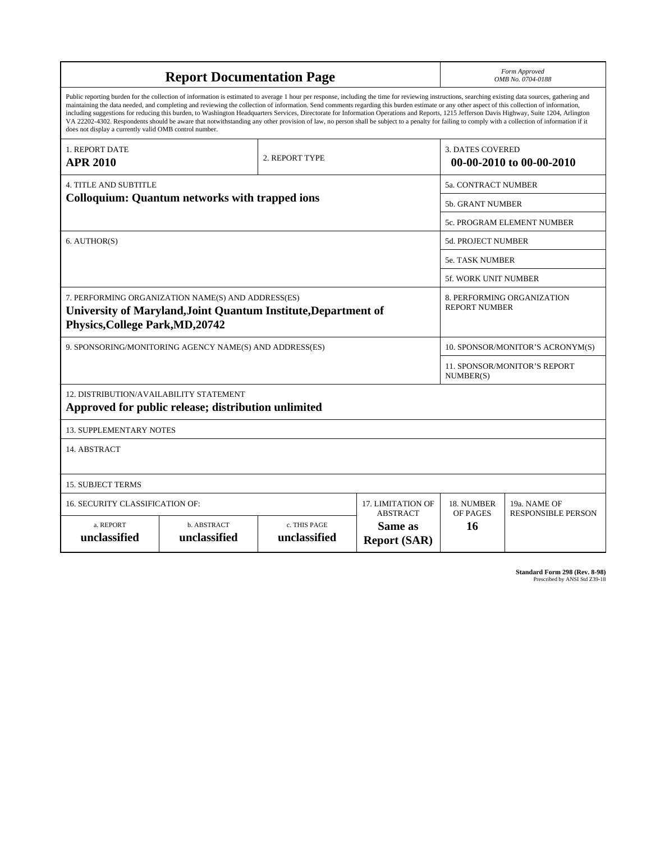| <b>Report Documentation Page</b>                                                                                                                                                                                                                                                                                                                                                                                                                                                                                                                                                                                                                                                                                                                                                                                                                                   |                             |                              |                                                   | Form Approved<br>OMB No. 0704-0188                  |                           |  |
|--------------------------------------------------------------------------------------------------------------------------------------------------------------------------------------------------------------------------------------------------------------------------------------------------------------------------------------------------------------------------------------------------------------------------------------------------------------------------------------------------------------------------------------------------------------------------------------------------------------------------------------------------------------------------------------------------------------------------------------------------------------------------------------------------------------------------------------------------------------------|-----------------------------|------------------------------|---------------------------------------------------|-----------------------------------------------------|---------------------------|--|
| Public reporting burden for the collection of information is estimated to average 1 hour per response, including the time for reviewing instructions, searching existing data sources, gathering and<br>maintaining the data needed, and completing and reviewing the collection of information. Send comments regarding this burden estimate or any other aspect of this collection of information,<br>including suggestions for reducing this burden, to Washington Headquarters Services, Directorate for Information Operations and Reports, 1215 Jefferson Davis Highway, Suite 1204, Arlington<br>VA 22202-4302. Respondents should be aware that notwithstanding any other provision of law, no person shall be subject to a penalty for failing to comply with a collection of information if it<br>does not display a currently valid OMB control number. |                             |                              |                                                   |                                                     |                           |  |
| 1. REPORT DATE<br><b>APR 2010</b>                                                                                                                                                                                                                                                                                                                                                                                                                                                                                                                                                                                                                                                                                                                                                                                                                                  |                             | 2. REPORT TYPE               |                                                   | <b>3. DATES COVERED</b><br>00-00-2010 to 00-00-2010 |                           |  |
| <b>4. TITLE AND SUBTITLE</b>                                                                                                                                                                                                                                                                                                                                                                                                                                                                                                                                                                                                                                                                                                                                                                                                                                       |                             |                              |                                                   | 5a. CONTRACT NUMBER                                 |                           |  |
| <b>Colloquium: Quantum networks with trapped ions</b>                                                                                                                                                                                                                                                                                                                                                                                                                                                                                                                                                                                                                                                                                                                                                                                                              |                             |                              | <b>5b. GRANT NUMBER</b>                           |                                                     |                           |  |
|                                                                                                                                                                                                                                                                                                                                                                                                                                                                                                                                                                                                                                                                                                                                                                                                                                                                    |                             |                              |                                                   | 5c. PROGRAM ELEMENT NUMBER                          |                           |  |
| 6. AUTHOR(S)                                                                                                                                                                                                                                                                                                                                                                                                                                                                                                                                                                                                                                                                                                                                                                                                                                                       |                             |                              | <b>5d. PROJECT NUMBER</b>                         |                                                     |                           |  |
|                                                                                                                                                                                                                                                                                                                                                                                                                                                                                                                                                                                                                                                                                                                                                                                                                                                                    |                             |                              |                                                   | <b>5e. TASK NUMBER</b>                              |                           |  |
|                                                                                                                                                                                                                                                                                                                                                                                                                                                                                                                                                                                                                                                                                                                                                                                                                                                                    |                             |                              |                                                   |                                                     | 5f. WORK UNIT NUMBER      |  |
| 7. PERFORMING ORGANIZATION NAME(S) AND ADDRESS(ES)<br>University of Maryland, Joint Quantum Institute, Department of<br><b>Physics, College Park, MD, 20742</b>                                                                                                                                                                                                                                                                                                                                                                                                                                                                                                                                                                                                                                                                                                    |                             |                              |                                                   | 8. PERFORMING ORGANIZATION<br><b>REPORT NUMBER</b>  |                           |  |
| 9. SPONSORING/MONITORING AGENCY NAME(S) AND ADDRESS(ES)                                                                                                                                                                                                                                                                                                                                                                                                                                                                                                                                                                                                                                                                                                                                                                                                            |                             |                              | 10. SPONSOR/MONITOR'S ACRONYM(S)                  |                                                     |                           |  |
|                                                                                                                                                                                                                                                                                                                                                                                                                                                                                                                                                                                                                                                                                                                                                                                                                                                                    |                             |                              |                                                   | <b>11. SPONSOR/MONITOR'S REPORT</b><br>NUMBER(S)    |                           |  |
| 12. DISTRIBUTION/AVAILABILITY STATEMENT<br>Approved for public release; distribution unlimited                                                                                                                                                                                                                                                                                                                                                                                                                                                                                                                                                                                                                                                                                                                                                                     |                             |                              |                                                   |                                                     |                           |  |
| <b>13. SUPPLEMENTARY NOTES</b>                                                                                                                                                                                                                                                                                                                                                                                                                                                                                                                                                                                                                                                                                                                                                                                                                                     |                             |                              |                                                   |                                                     |                           |  |
| 14. ABSTRACT                                                                                                                                                                                                                                                                                                                                                                                                                                                                                                                                                                                                                                                                                                                                                                                                                                                       |                             |                              |                                                   |                                                     |                           |  |
| <b>15. SUBJECT TERMS</b>                                                                                                                                                                                                                                                                                                                                                                                                                                                                                                                                                                                                                                                                                                                                                                                                                                           |                             |                              |                                                   |                                                     |                           |  |
| 16. SECURITY CLASSIFICATION OF:                                                                                                                                                                                                                                                                                                                                                                                                                                                                                                                                                                                                                                                                                                                                                                                                                                    |                             |                              | 17. LIMITATION OF                                 | 18. NUMBER                                          | 19a. NAME OF              |  |
| a. REPORT<br>unclassified                                                                                                                                                                                                                                                                                                                                                                                                                                                                                                                                                                                                                                                                                                                                                                                                                                          | b. ABSTRACT<br>unclassified | c. THIS PAGE<br>unclassified | <b>ABSTRACT</b><br>Same as<br><b>Report (SAR)</b> | OF PAGES<br>16                                      | <b>RESPONSIBLE PERSON</b> |  |

**Standard Form 298 (Rev. 8-98)**<br>Prescribed by ANSI Std Z39-18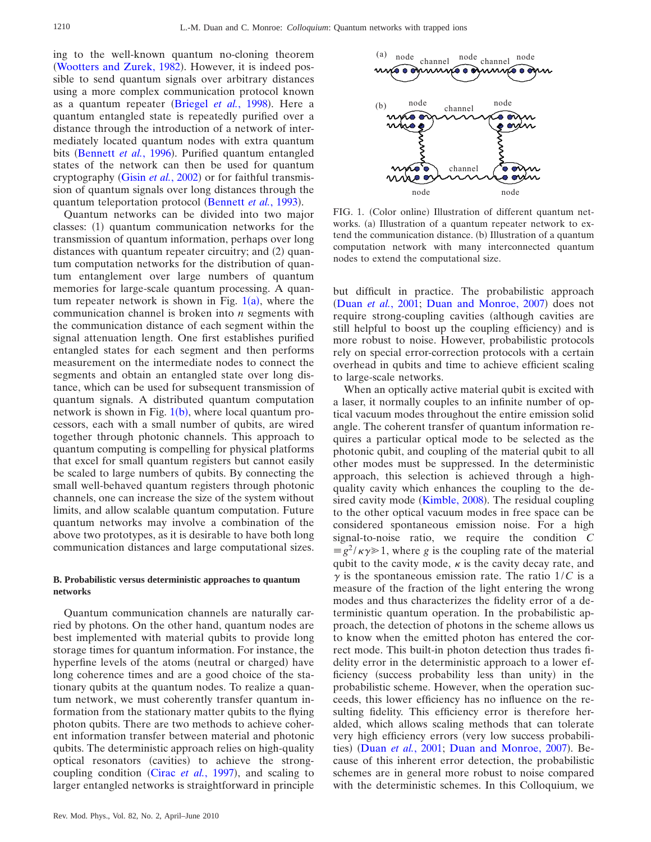ing to the well-known quantum no-cloning theorem ([Wootters and Zurek, 1982](#page-16-0)). However, it is indeed possible to send quantum signals over arbitrary distances using a more complex communication protocol known as a quantum repeater ([Briegel](#page-15-0) et al., 1998). Here a quantum entangled state is repeatedly purified over a distance through the introduction of a network of intermediately located quantum nodes with extra quantum bits ([Bennett](#page-15-1) et al., 1996). Purified quantum entangled states of the network can then be used for quantum cryptography (Gisin et al.[, 2002](#page-15-2)) or for faithful transmission of quantum signals over long distances through the quantum teleportation protocol ([Bennett](#page-15-3) et al., 1993).

Quantum networks can be divided into two major classes: (1) quantum communication networks for the transmission of quantum information, perhaps over long distances with quantum repeater circuitry; and (2) quantum computation networks for the distribution of quantum entanglement over large numbers of quantum memories for large-scale quantum processing. A quantum repeater network is shown in Fig.  $1(a)$  $1(a)$ , where the communication channel is broken into *n* segments with the communication distance of each segment within the signal attenuation length. One first establishes purified entangled states for each segment and then performs measurement on the intermediate nodes to connect the segments and obtain an entangled state over long distance, which can be used for subsequent transmission of quantum signals. A distributed quantum computation network is shown in Fig.  $1(b)$  $1(b)$  $1(b)$ , where local quantum processors, each with a small number of qubits, are wired together through photonic channels. This approach to quantum computing is compelling for physical platforms that excel for small quantum registers but cannot easily be scaled to large numbers of qubits. By connecting the small well-behaved quantum registers through photonic channels, one can increase the size of the system without limits, and allow scalable quantum computation. Future quantum networks may involve a combination of the above two prototypes, as it is desirable to have both long communication distances and large computational sizes.

## **B. Probabilistic versus deterministic approaches to quantum networks**

Quantum communication channels are naturally carried by photons. On the other hand, quantum nodes are best implemented with material qubits to provide long storage times for quantum information. For instance, the hyperfine levels of the atoms (neutral or charged) have long coherence times and are a good choice of the stationary qubits at the quantum nodes. To realize a quantum network, we must coherently transfer quantum information from the stationary matter qubits to the flying photon qubits. There are two methods to achieve coherent information transfer between material and photonic qubits. The deterministic approach relies on high-quality optical resonators (cavities) to achieve the strongcoupling condition (Cirac *et al.*[, 1997](#page-15-4)), and scaling to larger entangled networks is straightforward in principle

<span id="page-2-0"></span>

FIG. 1. (Color online) Illustration of different quantum networks. (a) Illustration of a quantum repeater network to extend the communication distance. (b) Illustration of a quantum computation network with many interconnected quantum nodes to extend the computational size.

but difficult in practice. The probabilistic approach (Duan et al.[, 2001;](#page-15-5) [Duan and Monroe, 2007](#page-15-6)) does not require strong-coupling cavities (although cavities are still helpful to boost up the coupling efficiency) and is more robust to noise. However, probabilistic protocols rely on special error-correction protocols with a certain overhead in qubits and time to achieve efficient scaling to large-scale networks.

When an optically active material qubit is excited with a laser, it normally couples to an infinite number of optical vacuum modes throughout the entire emission solid angle. The coherent transfer of quantum information requires a particular optical mode to be selected as the photonic qubit, and coupling of the material qubit to all other modes must be suppressed. In the deterministic approach, this selection is achieved through a highquality cavity which enhances the coupling to the de-sired cavity mode ([Kimble, 2008](#page-16-1)). The residual coupling to the other optical vacuum modes in free space can be considered spontaneous emission noise. For a high signal-to-noise ratio, we require the condition *C*  $\equiv g^2 / \kappa \gamma \gg 1$ , where *g* is the coupling rate of the material qubit to the cavity mode,  $\kappa$  is the cavity decay rate, and  $\gamma$  is the spontaneous emission rate. The ratio  $1/C$  is a measure of the fraction of the light entering the wrong modes and thus characterizes the fidelity error of a deterministic quantum operation. In the probabilistic approach, the detection of photons in the scheme allows us to know when the emitted photon has entered the correct mode. This built-in photon detection thus trades fidelity error in the deterministic approach to a lower efficiency (success probability less than unity) in the probabilistic scheme. However, when the operation succeeds, this lower efficiency has no influence on the resulting fidelity. This efficiency error is therefore heralded, which allows scaling methods that can tolerate very high efficiency errors (very low success probabili-ties) (Duan et al.[, 2001;](#page-15-5) [Duan and Monroe, 2007](#page-15-6)). Because of this inherent error detection, the probabilistic schemes are in general more robust to noise compared with the deterministic schemes. In this Colloquium, we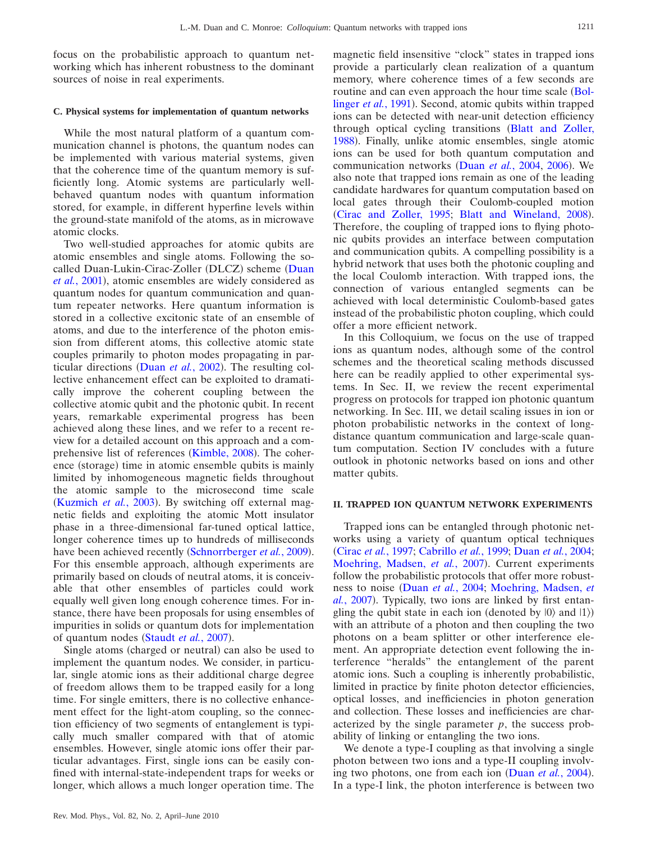focus on the probabilistic approach to quantum networking which has inherent robustness to the dominant sources of noise in real experiments.

#### **C. Physical systems for implementation of quantum networks**

While the most natural platform of a quantum communication channel is photons, the quantum nodes can be implemented with various material systems, given that the coherence time of the quantum memory is sufficiently long. Atomic systems are particularly wellbehaved quantum nodes with quantum information stored, for example, in different hyperfine levels within the ground-state manifold of the atoms, as in microwave atomic clocks.

Two well-studied approaches for atomic qubits are atomic ensembles and single atoms. Following the so-called [Duan](#page-15-5)-Lukin-Cirac-Zoller (DLCZ) scheme (Duan et al.[, 2001](#page-15-5)), atomic ensembles are widely considered as quantum nodes for quantum communication and quantum repeater networks. Here quantum information is stored in a collective excitonic state of an ensemble of atoms, and due to the interference of the photon emission from different atoms, this collective atomic state couples primarily to photon modes propagating in particular directions (Duan *et al.*[, 2002](#page-15-7)). The resulting collective enhancement effect can be exploited to dramatically improve the coherent coupling between the collective atomic qubit and the photonic qubit. In recent years, remarkable experimental progress has been achieved along these lines, and we refer to a recent review for a detailed account on this approach and a com-prehensive list of references ([Kimble, 2008](#page-16-1)). The coherence (storage) time in atomic ensemble qubits is mainly limited by inhomogeneous magnetic fields throughout the atomic sample to the microsecond time scale ([Kuzmich](#page-16-2) et al., 2003). By switching off external magnetic fields and exploiting the atomic Mott insulator phase in a three-dimensional far-tuned optical lattice, longer coherence times up to hundreds of milliseconds have been achieved recently ([Schnorrberger](#page-16-3) et al., 2009). For this ensemble approach, although experiments are primarily based on clouds of neutral atoms, it is conceivable that other ensembles of particles could work equally well given long enough coherence times. For instance, there have been proposals for using ensembles of impurities in solids or quantum dots for implementation of quantum nodes ([Staudt](#page-16-4) et al., 2007).

Single atoms (charged or neutral) can also be used to implement the quantum nodes. We consider, in particular, single atomic ions as their additional charge degree of freedom allows them to be trapped easily for a long time. For single emitters, there is no collective enhancement effect for the light-atom coupling, so the connection efficiency of two segments of entanglement is typically much smaller compared with that of atomic ensembles. However, single atomic ions offer their particular advantages. First, single ions can be easily confined with internal-state-independent traps for weeks or longer, which allows a much longer operation time. The

magnetic field insensitive "clock" states in trapped ions provide a particularly clean realization of a quantum memory, where coherence times of a few seconds are routine and can even approach the hour time scale ([Bol-](#page-15-8)linger et al.[, 1991](#page-15-8)). Second, atomic qubits within trapped ions can be detected with near-unit detection efficiency through optical cycling transitions ([Blatt and Zoller,](#page-15-9) [1988](#page-15-9)). Finally, unlike atomic ensembles, single atomic ions can be used for both quantum computation and communication networks (Duan et al.[, 2004,](#page-15-10) [2006](#page-15-11)). We also note that trapped ions remain as one of the leading candidate hardwares for quantum computation based on local gates through their Coulomb-coupled motion ([Cirac and Zoller, 1995;](#page-15-12) [Blatt and Wineland, 2008](#page-15-13)). Therefore, the coupling of trapped ions to flying photonic qubits provides an interface between computation and communication qubits. A compelling possibility is a hybrid network that uses both the photonic coupling and the local Coulomb interaction. With trapped ions, the connection of various entangled segments can be achieved with local deterministic Coulomb-based gates instead of the probabilistic photon coupling, which could offer a more efficient network.

In this Colloquium, we focus on the use of trapped ions as quantum nodes, although some of the control schemes and the theoretical scaling methods discussed here can be readily applied to other experimental systems. In Sec. II, we review the recent experimental progress on protocols for trapped ion photonic quantum networking. In Sec. III, we detail scaling issues in ion or photon probabilistic networks in the context of longdistance quantum communication and large-scale quantum computation. Section IV concludes with a future outlook in photonic networks based on ions and other matter qubits.

#### **II. TRAPPED ION QUANTUM NETWORK EXPERIMENTS**

Trapped ions can be entangled through photonic networks using a variety of quantum optical techniques Cirac *et al.*[, 1997;](#page-15-4) [Cabrillo](#page-15-14) *et al.*, 1999; Duan *et al.*[, 2004;](#page-15-10) [Moehring, Madsen,](#page-16-5) et al., 2007). Current experiments follow the probabilistic protocols that offer more robustness to noise Duan *et al.*[, 2004;](#page-15-10) [Moehring, Madsen,](#page-16-5) *et* al.[, 2007](#page-16-5)). Typically, two ions are linked by first entangling the qubit state in each ion (denoted by  $|0\rangle$  and  $|1\rangle$ ) with an attribute of a photon and then coupling the two photons on a beam splitter or other interference element. An appropriate detection event following the interference "heralds" the entanglement of the parent atomic ions. Such a coupling is inherently probabilistic, limited in practice by finite photon detector efficiencies, optical losses, and inefficiencies in photon generation and collection. These losses and inefficiencies are characterized by the single parameter  $p$ , the success probability of linking or entangling the two ions.

We denote a type-I coupling as that involving a single photon between two ions and a type-II coupling involv-ing two photons, one from each ion (Duan et al.[, 2004](#page-15-10)). In a type-I link, the photon interference is between two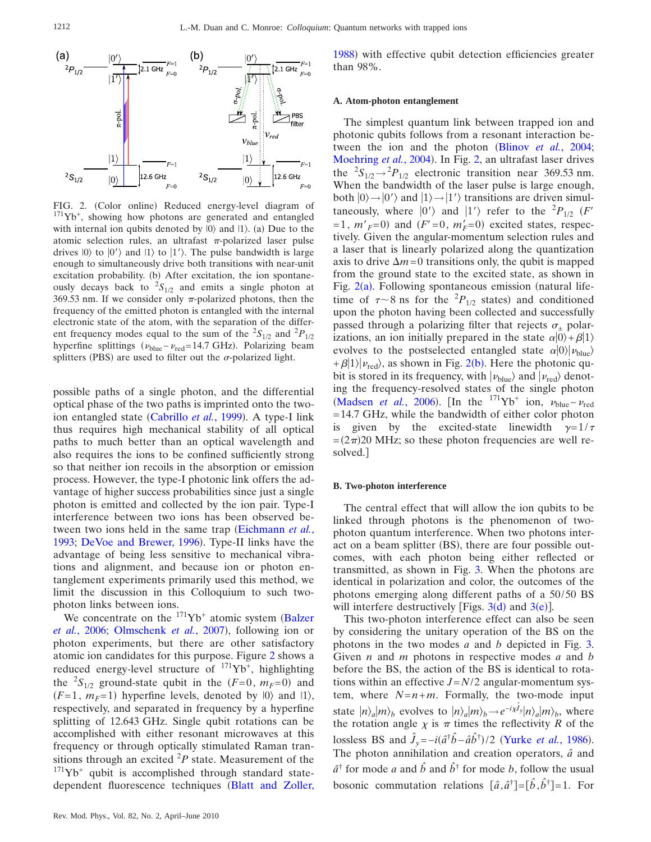<span id="page-4-0"></span>

FIG. 2. (Color online) Reduced energy-level diagram of <sup>171</sup>Yb<sup>+</sup>, showing how photons are generated and entangled with internal ion qubits denoted by  $|0\rangle$  and  $|1\rangle$ . (a) Due to the atomic selection rules, an ultrafast  $\pi$ -polarized laser pulse drives  $|0\rangle$  to  $|0\rangle$  and  $|1\rangle$  to  $|1\rangle$ . The pulse bandwidth is large enough to simultaneously drive both transitions with near-unit excitation probability. (b) After excitation, the ion spontaneously decays back to  ${}^{2}S_{1/2}$  and emits a single photon at 369.53 nm. If we consider only  $\pi$ -polarized photons, then the frequency of the emitted photon is entangled with the internal electronic state of the atom, with the separation of the different frequency modes equal to the sum of the  ${}^{2}S_{1/2}$  and  ${}^{2}P_{1/2}$ hyperfine splittings  $(\nu_{blue} - \nu_{red} = 14.7 \text{ GHz})$ . Polarizing beam splitters (PBS) are used to filter out the  $\sigma$ -polarized light.

possible paths of a single photon, and the differential optical phase of the two paths is imprinted onto the two-ion entangled state ([Cabrillo](#page-15-14) et al., 1999). A type-I link thus requires high mechanical stability of all optical paths to much better than an optical wavelength and also requires the ions to be confined sufficiently strong so that neither ion recoils in the absorption or emission process. However, the type-I photonic link offers the advantage of higher success probabilities since just a single photon is emitted and collected by the ion pair. Type-I interference between two ions has been observed be-tween two ions held in the same trap ([Eichmann](#page-15-15) *et al.*, [1993;](#page-15-15) [DeVoe and Brewer, 1996](#page-15-16)). Type-II links have the advantage of being less sensitive to mechanical vibrations and alignment, and because ion or photon entanglement experiments primarily used this method, we limit the discussion in this Colloquium to such twophoton links between ions.

We concentrate on the  $171\text{Yb}^+$  atomic system ([Balzer](#page-15-17) et al.[, 2006;](#page-15-17) [Olmschenk](#page-16-6) et al., 2007), following ion or photon experiments, but there are other satisfactory atomic ion candidates for this purpose. Figure [2](#page-4-0) shows a reduced energy-level structure of  $171\text{Yb}^+$ , highlighting the <sup>2</sup>S<sub>1/2</sub> ground-state qubit in the  $(F=0, m_F=0)$  and  $(F=1, m_F=1)$  hyperfine levels, denoted by  $|0\rangle$  and  $|1\rangle$ , respectively, and separated in frequency by a hyperfine splitting of 12.643 GHz. Single qubit rotations can be accomplished with either resonant microwaves at this frequency or through optically stimulated Raman transitions through an excited  ${}^{2}P$  state. Measurement of the  $171\text{Yb}^+$  qubit is accomplished through standard state-dependent fluorescence techniques ([Blatt and Zoller,](#page-15-9)

[1988](#page-15-9)) with effective qubit detection efficiencies greater than 98%.

## **A. Atom-photon entanglement**

The simplest quantum link between trapped ion and photonic qubits follows from a resonant interaction between the ion and the photon (Blinov *et al.*[, 2004;](#page-15-18) [Moehring](#page-16-7) et al., 2004). In Fig. [2,](#page-4-0) an ultrafast laser drives the  ${}^{2}S_{1/2} \rightarrow {}^{2}P_{1/2}$  electronic transition near 369.53 nm. When the bandwidth of the laser pulse is large enough, both  $|0\rangle \rightarrow |0\rangle$  and  $|1\rangle \rightarrow |1\rangle$  transitions are driven simultaneously, where  $|0'\rangle$  and  $|1'\rangle$  refer to the <sup>2</sup> $P_{1/2}$  (*F'*  $=1, m'_{F}=0$  and  $(F'=0, m'_{F}=0)$  excited states, respectively. Given the angular-momentum selection rules and a laser that is linearly polarized along the quantization axis to drive  $\Delta m = 0$  transitions only, the qubit is mapped from the ground state to the excited state, as shown in Fig.  $2(a)$  $2(a)$ . Following spontaneous emission (natural lifetime of  $\tau \sim 8$  ns for the <sup>2</sup> $P_{1/2}$  states) and conditioned upon the photon having been collected and successfully passed through a polarizing filter that rejects  $\sigma_{+}$  polarizations, an ion initially prepared in the state  $\alpha|0\rangle+\beta|1\rangle$ evolves to the postselected entangled state  $\alpha|0\rangle|\nu_{blue}\rangle$  $+ \beta |1\rangle |v_{\text{red}}\rangle$  $+ \beta |1\rangle |v_{\text{red}}\rangle$  $+ \beta |1\rangle |v_{\text{red}}\rangle$ , as shown in Fig. 2(b). Here the photonic qubit is stored in its frequency, with  $|\nu_{blue}\rangle$  and  $|\nu_{red}\rangle$  denoting the frequency-resolved states of the single photon ([Madsen](#page-16-8) *et al.*, 2006). [In the <sup>171</sup>Yb<sup>+</sup> ion,  $\nu_{blue} - \nu_{red}$ = 14.7 GHz, while the bandwidth of either color photon is given by the excited-state linewidth  $\gamma=1/\tau$  $=(2\pi)20$  MHz; so these photon frequencies are well resolved.

#### **B. Two-photon interference**

The central effect that will allow the ion qubits to be linked through photons is the phenomenon of twophoton quantum interference. When two photons interact on a beam splitter (BS), there are four possible outcomes, with each photon being either reflected or transmitted, as shown in Fig. [3.](#page-5-0) When the photons are identical in polarization and color, the outcomes of the photons emerging along different paths of a 50/50 BS will interfere [d](#page-5-0)estructively [Figs.  $3(d)$  $3(d)$  and  $3(e)$ ].

This two-photon interference effect can also be seen by considering the unitary operation of the BS on the photons in the two modes *a* and *b* depicted in Fig. [3.](#page-5-0) Given *n* and *m* photons in respective modes *a* and *b* before the BS, the action of the BS is identical to rotations within an effective  $J = N/2$  angular-momentum system, where  $N=n+m$ . Formally, the two-mode input state  $|n\rangle_a |m\rangle_b$  evolves to  $|n\rangle_a |m\rangle_b \rightarrow e^{-i\chi \hat{J}_y} |n\rangle_a |m\rangle_b$ , where the rotation angle  $\chi$  is  $\pi$  times the reflectivity *R* of the lossless BS and  $\hat{J}_y = -i(\hat{a}^\dagger \hat{b} - \hat{a} \hat{b}^\dagger)/2$  ([Yurke](#page-16-9) *et al.*, 1986). The photon annihilation and creation operators, *aˆ* and  $\hat{a}^{\dagger}$  for mode *a* and  $\hat{b}$  and  $\hat{b}^{\dagger}$  for mode *b*, follow the usual bosonic commutation relations  $[\hat{a}, \hat{a}^\dagger] = [\hat{b}, \hat{b}^\dagger] = 1$ . For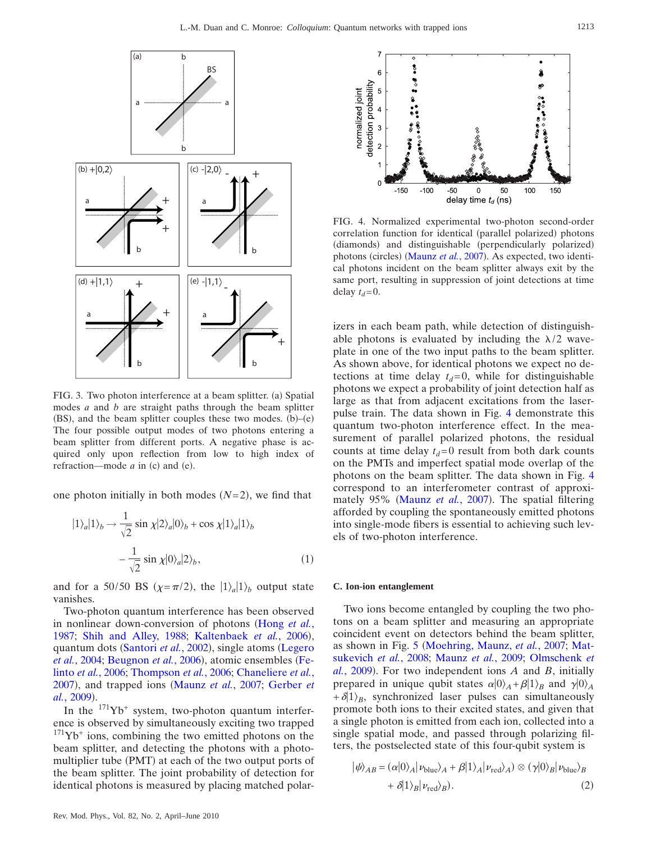<span id="page-5-0"></span>

FIG. 3. Two photon interference at a beam splitter. (a) Spatial modes *a* and *b* are straight paths through the beam splitter  $(BS)$ , and the beam splitter couples these two modes.  $(b)$ - $(e)$ The four possible output modes of two photons entering a beam splitter from different ports. A negative phase is acquired only upon reflection from low to high index of refraction—mode  $a$  in (c) and (e).

one photon initially in both modes  $(N=2)$ , we find that

$$
|1\rangle_{a}|1\rangle_{b} \rightarrow \frac{1}{\sqrt{2}} \sin \chi |2\rangle_{a}|0\rangle_{b} + \cos \chi |1\rangle_{a}|1\rangle_{b}
$$

$$
-\frac{1}{\sqrt{2}} \sin \chi |0\rangle_{a}|2\rangle_{b}, \qquad (1)
$$

and for a 50/50 BS  $(\chi = \pi/2)$ , the  $|1\rangle_a|1\rangle_b$  output state vanishes.

Two-photon quantum interference has been observed in nonlinear down-conversion of photons ([Hong](#page-16-10) *et al.*, [1987;](#page-16-10) [Shih and Alley, 1988;](#page-16-11) [Kaltenbaek](#page-16-12) et al., 2006), quantum dots ([Santori](#page-16-13) et al., 2002), single atoms ([Legero](#page-16-14) et al.[, 2004;](#page-16-14) [Beugnon](#page-15-19) et al., 2006), atomic ensembles ([Fe](#page-15-20)linto *et al.*[, 2006;](#page-15-20) [Thompson](#page-16-15) *et al.*, 2006; [Chaneliere](#page-15-21) *et al.*, [2007](#page-15-21)), and trapped ions ([Maunz](#page-16-16) et al., 2007; [Gerber](#page-15-22) et al.[, 2009](#page-15-22)).

In the  $171Yb$ <sup>+</sup> system, two-photon quantum interference is observed by simultaneously exciting two trapped  $171\text{Yb}^+$  ions, combining the two emitted photons on the beam splitter, and detecting the photons with a photomultiplier tube (PMT) at each of the two output ports of the beam splitter. The joint probability of detection for identical photons is measured by placing matched polar-

<span id="page-5-1"></span>

FIG. 4. Normalized experimental two-photon second-order correlation function for identical (parallel polarized) photons (diamonds) and distinguishable (perpendicularly polarized) photons (circles) ([Maunz](#page-16-16) et al., 2007). As expected, two identical photons incident on the beam splitter always exit by the same port, resulting in suppression of joint detections at time delay  $t_d$ =0.

izers in each beam path, while detection of distinguishable photons is evaluated by including the  $\lambda/2$  waveplate in one of the two input paths to the beam splitter. As shown above, for identical photons we expect no detections at time delay  $t_d = 0$ , while for distinguishable photons we expect a probability of joint detection half as large as that from adjacent excitations from the laserpulse train. The data shown in Fig. [4](#page-5-1) demonstrate this quantum two-photon interference effect. In the measurement of parallel polarized photons, the residual counts at time delay  $t_d$ =0 result from both dark counts on the PMTs and imperfect spatial mode overlap of the photons on the beam splitter. The data shown in Fig. [4](#page-5-1) correspond to an interferometer contrast of approxi-mately 95% ([Maunz](#page-16-16) et al., 2007). The spatial filtering afforded by coupling the spontaneously emitted photons into single-mode fibers is essential to achieving such levels of two-photon interference.

#### **C. Ion-ion entanglement**

Two ions become entangled by coupling the two photons on a beam splitter and measuring an appropriate coincident event on detectors behind the beam splitter, as shown in Fig. [5](#page-6-0) [Moehring, Maunz,](#page-16-17) *et al.*, 2007; [Mat](#page-16-18)[sukevich](#page-16-18) *et al.*, 2008; [Maunz](#page-16-19) *et al.*, 2009; [Olmschenk](#page-16-20) *et*  $al.$ [, 2009](#page-16-20)). For two independent ions *A* and *B*, initially prepared in unique qubit states  $\alpha|0\rangle_A + \beta|1\rangle_B$  and  $\gamma|0\rangle_A$  $+\delta|1\rangle_B$ , synchronized laser pulses can simultaneously promote both ions to their excited states, and given that a single photon is emitted from each ion, collected into a single spatial mode, and passed through polarizing filters, the postselected state of this four-qubit system is

<span id="page-5-2"></span>
$$
|\psi\rangle_{AB} = (\alpha|0\rangle_A|\nu_{blue}\rangle_A + \beta|1\rangle_A|\nu_{red}\rangle_A) \otimes (\gamma|0\rangle_B|\nu_{blue}\rangle_B
$$
  
+  $\delta|1\rangle_B|\nu_{red}\rangle_B).$  (2)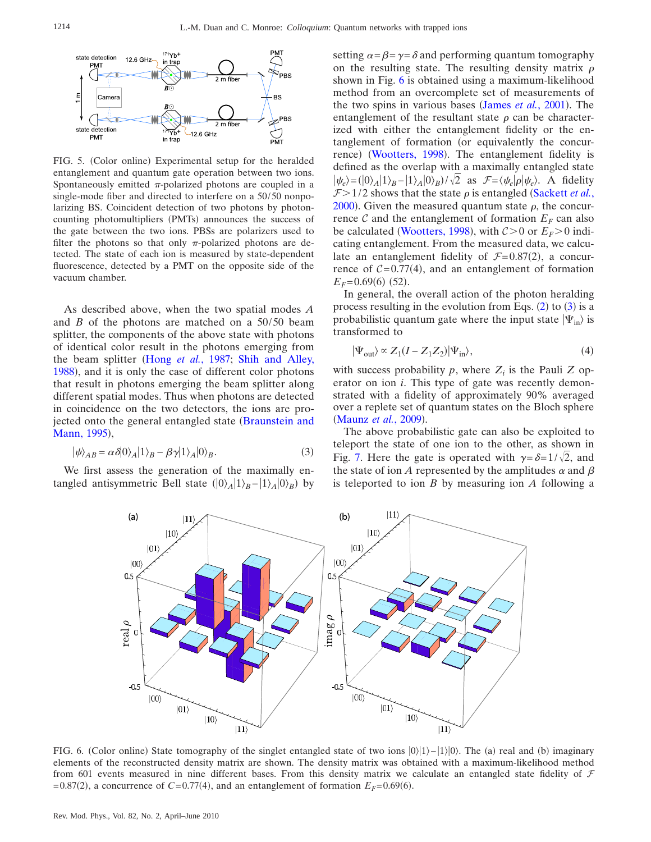<span id="page-6-0"></span>

FIG. 5. (Color online) Experimental setup for the heralded entanglement and quantum gate operation between two ions. Spontaneously emitted  $\pi$ -polarized photons are coupled in a single-mode fiber and directed to interfere on a 50/50 nonpolarizing BS. Coincident detection of two photons by photoncounting photomultipliers (PMTs) announces the success of the gate between the two ions. PBSs are polarizers used to filter the photons so that only  $\pi$ -polarized photons are detected. The state of each ion is measured by state-dependent fluorescence, detected by a PMT on the opposite side of the vacuum chamber.

As described above, when the two spatial modes *A* and  $\hat{B}$  of the photons are matched on a 50/50 beam splitter, the components of the above state with photons of identical color result in the photons emerging from the beam splitter (Hong *et al.*[, 1987;](#page-16-10) [Shih and Alley,](#page-16-11) [1988](#page-16-11)), and it is only the case of different color photons that result in photons emerging the beam splitter along different spatial modes. Thus when photons are detected in coincidence on the two detectors, the ions are pro-jected onto the general entangled state ([Braunstein and](#page-15-23) [Mann, 1995](#page-15-23)),

<span id="page-6-2"></span>
$$
|\psi\rangle_{AB} = \alpha \delta |0\rangle_A |1\rangle_B - \beta \gamma |1\rangle_A |0\rangle_B.
$$
 (3)

<span id="page-6-1"></span>We first assess the generation of the maximally entangled antisymmetric Bell state  $(|0\rangle_A | 1\rangle_B - |1\rangle_A | 0\rangle_B)$  by

setting  $\alpha = \beta = \gamma = \delta$  and performing quantum tomography on the resulting state. The resulting density matrix  $\rho$ shown in Fig. [6](#page-6-1) is obtained using a maximum-likelihood method from an overcomplete set of measurements of the two spins in various bases ([James](#page-16-21) *et al.*, 2001). The entanglement of the resultant state  $\rho$  can be characterized with either the entanglement fidelity or the entanglement of formation (or equivalently the concur-rence) ([Wootters, 1998](#page-16-22)). The entanglement fidelity is defined as the overlap with a maximally entangled state  $|\psi_e\rangle = (|0\rangle_A |1\rangle_B - |1\rangle_A |0\rangle_B)/\sqrt{2}$  as  $\mathcal{F} = \langle \psi_e | \rho | \psi_e \rangle$ . A fidelity  $F > 1/2$  shows that the state  $\rho$  is entangled ([Sackett](#page-16-23) *et al.*, [2000](#page-16-23)). Given the measured quantum state  $\rho$ , the concurrence C and the entanglement of formation  $E_F$  can also be calculated ([Wootters, 1998](#page-16-22)), with  $C>0$  or  $E_F>0$  indicating entanglement. From the measured data, we calculate an entanglement fidelity of  $\mathcal{F} = 0.87(2)$ , a concurrence of  $C = 0.77(4)$ , and an entanglement of formation  $E_F = 0.69(6)$  (52).

In general, the overall action of the photon heralding process resulting in the evolution from Eqs.  $(2)$  $(2)$  $(2)$  to  $(3)$  $(3)$  $(3)$  is a probabilistic quantum gate where the input state  $|\Psi_{\text{in}}\rangle$  is transformed to

<span id="page-6-3"></span>
$$
|\Psi_{\text{out}}\rangle \propto Z_1(I - Z_1 Z_2)|\Psi_{\text{in}}\rangle,\tag{4}
$$

with success probability  $p$ , where  $Z_i$  is the Pauli  $Z$  operator on ion *i*. This type of gate was recently demonstrated with a fidelity of approximately 90% averaged over a replete set of quantum states on the Bloch sphere ([Maunz](#page-16-19) et al., 2009).

The above probabilistic gate can also be exploited to teleport the state of one ion to the other, as shown in Fig. [7.](#page-7-0) Here the gate is operated with  $\gamma = \delta = 1/\sqrt{2}$ , and the state of ion *A* represented by the amplitudes  $\alpha$  and  $\beta$ is teleported to ion *B* by measuring ion *A* following a



FIG. 6. (Color online) State tomography of the singlet entangled state of two ions  $|0\rangle|1\rangle-|1\rangle|0\rangle$ . The (a) real and (b) imaginary elements of the reconstructed density matrix are shown. The density matrix was obtained with a maximum-likelihood method from 601 events measured in nine different bases. From this density matrix we calculate an entangled state fidelity of  $\mathcal F$  $= 0.87(2)$ , a concurrence of  $C = 0.77(4)$ , and an entanglement of formation  $E_F = 0.69(6)$ .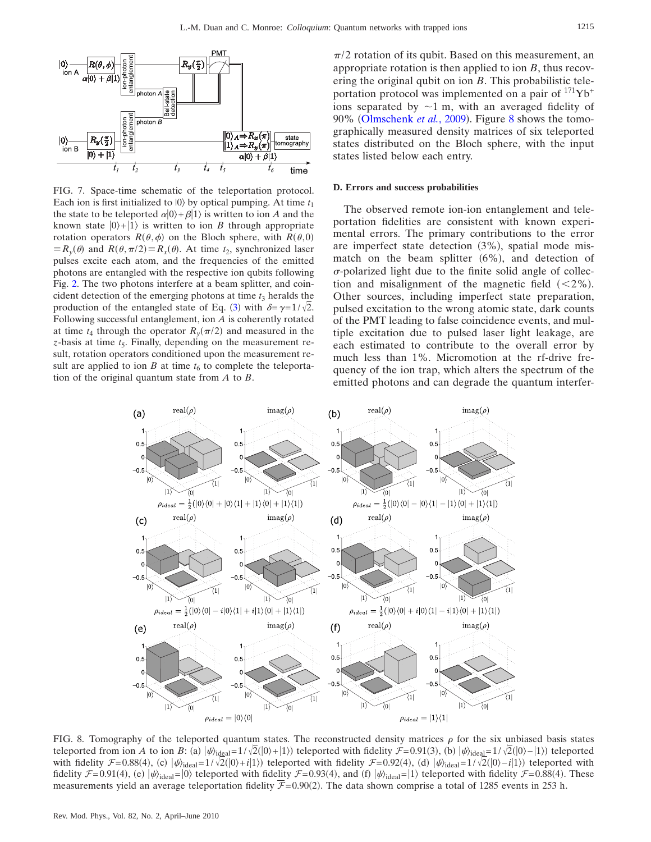<span id="page-7-0"></span>

FIG. 7. Space-time schematic of the teleportation protocol. Each ion is first initialized to  $|0\rangle$  by optical pumping. At time  $t_1$ the state to be teleported  $\alpha|0\rangle + \beta|1\rangle$  is written to ion *A* and the known state  $|0\rangle + |1\rangle$  is written to ion *B* through appropriate rotation operators  $R(\theta, \phi)$  on the Bloch sphere, with  $R(\theta, 0)$  $\equiv R_y(\theta)$  and  $R(\theta, \pi/2) \equiv R_x(\theta)$ . At time  $t_2$ , synchronized laser pulses excite each atom, and the frequencies of the emitted photons are entangled with the respective ion qubits following Fig. [2.](#page-4-0) The two photons interfere at a beam splitter, and coincident detection of the emerging photons at time  $t_3$  heralds the production of the entangled state of Eq. ([3](#page-6-2)) with  $\delta = \gamma = 1/\sqrt{2}$ . Following successful entanglement, ion *A* is coherently rotated at time  $t_4$  through the operator  $R_y(\pi/2)$  and measured in the *z*-basis at time  $t_5$ . Finally, depending on the measurement result, rotation operators conditioned upon the measurement result are applied to ion *B* at time  $t<sub>6</sub>$  to complete the teleportation of the original quantum state from *A* to *B*.

 $\pi/2$  rotation of its qubit. Based on this measurement, an appropriate rotation is then applied to ion *B*, thus recovering the original qubit on ion *B*. This probabilistic teleportation protocol was implemented on a pair of  $171\text{Yb}^+$ ions separated by  $\sim$ 1 m, with an averaged fidelity of 90% ([Olmschenk](#page-16-20) et al., 2009). Figure [8](#page-7-1) shows the tomographically measured density matrices of six teleported states distributed on the Bloch sphere, with the input states listed below each entry.

#### **D. Errors and success probabilities**

The observed remote ion-ion entanglement and teleportation fidelities are consistent with known experimental errors. The primary contributions to the error are imperfect state detection (3%), spatial mode mismatch on the beam splitter  $(6\%)$ , and detection of  $\sigma$ -polarized light due to the finite solid angle of collection and misalignment of the magnetic field  $(<2\%)$ . Other sources, including imperfect state preparation, pulsed excitation to the wrong atomic state, dark counts of the PMT leading to false coincidence events, and multiple excitation due to pulsed laser light leakage, are each estimated to contribute to the overall error by much less than 1%. Micromotion at the rf-drive frequency of the ion trap, which alters the spectrum of the emitted photons and can degrade the quantum interfer-

<span id="page-7-1"></span>

FIG. 8. Tomography of the teleported quantum states. The reconstructed density matrices  $\rho$  for the six unbiased basis states teleported from ion *A* to ion *B*: (a)  $|\psi_{\text{ideal}} = 1/\sqrt{2}(|0\rangle + |1\rangle)$  teleported with fidelity  $\mathcal{F} = 0.91(3)$ , (b)  $|\psi_{\text{ideal}} = 1/\sqrt{2}(|0\rangle - |1\rangle)$  teleported with fidelity  $\mathcal{F} = 0.88(4)$ , (c)  $|\psi\rangle_{\text{ideal}} = 1/\sqrt{2(|0\rangle + i|1\rangle)}$  teleported with fidelity  $\mathcal{F} = 0.92(4)$ , (d)  $|\psi\rangle_{\text{ideal}} = 1/\sqrt{2(|0\rangle - i|1\rangle)}$  teleported with fidelity  $\mathcal{F}$ = 0.91(4), (e)  $|\psi\rangle$ <sub>ideal</sub>=|0) teleported with fidelity  $\mathcal{F}$ = 0.93(4), and (f)  $|\psi\rangle$ <sub>ideal</sub>=|1) teleported with fidelity  $\mathcal{F}$ = 0.88(4). These measurements yield an average teleportation fidelity  $F= 0.90(2)$ . The data shown comprise a total of 1285 events in 253 h.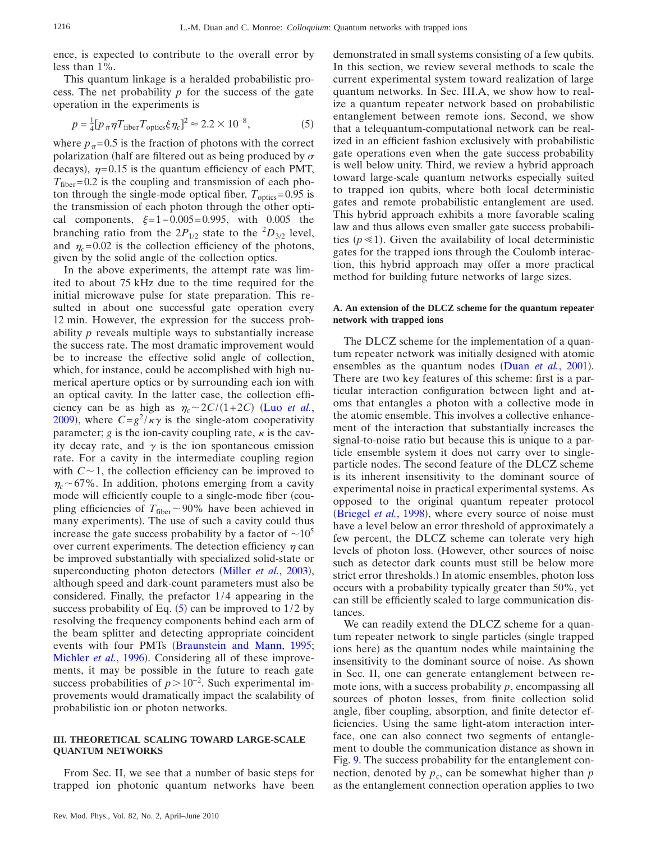ence, is expected to contribute to the overall error by less than 1%.

This quantum linkage is a heralded probabilistic process. The net probability *p* for the success of the gate operation in the experiments is

<span id="page-8-0"></span>
$$
p = \frac{1}{4} [p_{\pi} \eta T_{\text{fiber}} T_{\text{optics}} \xi \eta_c]^2 \approx 2.2 \times 10^{-8},\tag{5}
$$

where  $p_{\pi}$ =0.5 is the fraction of photons with the correct polarization (half are filtered out as being produced by  $\sigma$ decays),  $\eta = 0.15$  is the quantum efficiency of each PMT,  $T_{\text{fiber}} = 0.2$  is the coupling and transmission of each photon through the single-mode optical fiber,  $T_{\text{optics}} = 0.95$  is the transmission of each photon through the other optical components,  $\xi = 1 - 0.005 = 0.995$ , with 0.005 the branching ratio from the  $2P_{1/2}$  state to the  ${}^{2}D_{3/2}$  level, and  $\eta_c$ = 0.02 is the collection efficiency of the photons, given by the solid angle of the collection optics.

In the above experiments, the attempt rate was limited to about 75 kHz due to the time required for the initial microwave pulse for state preparation. This resulted in about one successful gate operation every 12 min. However, the expression for the success probability *p* reveals multiple ways to substantially increase the success rate. The most dramatic improvement would be to increase the effective solid angle of collection, which, for instance, could be accomplished with high numerical aperture optics or by surrounding each ion with an optical cavity. In the latter case, the collection efficiency can be as high as  $\eta_c \sim 2C/(1+2C)$  (Luo *[et al.](#page-16-24)*, [2009](#page-16-24)), where  $C = g^2 / \kappa \gamma$  is the single-atom cooperativity parameter;  $g$  is the ion-cavity coupling rate,  $\kappa$  is the cavity decay rate, and  $\gamma$  is the ion spontaneous emission rate. For a cavity in the intermediate coupling region with  $C \sim 1$ , the collection efficiency can be improved to  $\eta_c \sim 67\%$ . In addition, photons emerging from a cavity mode will efficiently couple to a single-mode fiber (coupling efficiencies of  $T_{\text{fiber}} \sim 90\%$  have been achieved in many experiments). The use of such a cavity could thus increase the gate success probability by a factor of  $\sim 10^5$ over current experiments. The detection efficiency  $\eta$  can be improved substantially with specialized solid-state or superconducting photon detectors (Miller et al.[, 2003](#page-16-25)), although speed and dark-count parameters must also be considered. Finally, the prefactor  $1/4$  appearing in the success probability of Eq.  $(5)$  $(5)$  $(5)$  can be improved to 1/2 by resolving the frequency components behind each arm of the beam splitter and detecting appropriate coincident events with four PMTs ([Braunstein and Mann, 1995;](#page-15-23) [Michler](#page-16-26) et al., 1996). Considering all of these improvements, it may be possible in the future to reach gate success probabilities of  $p>10^{-2}$ . Such experimental improvements would dramatically impact the scalability of probabilistic ion or photon networks.

# **III. THEORETICAL SCALING TOWARD LARGE-SCALE QUANTUM NETWORKS**

From Sec. II, we see that a number of basic steps for trapped ion photonic quantum networks have been

Rev. Mod. Phys., Vol. 82, No. 2, April–June 2010

demonstrated in small systems consisting of a few qubits. In this section, we review several methods to scale the current experimental system toward realization of large quantum networks. In Sec. III.A, we show how to realize a quantum repeater network based on probabilistic entanglement between remote ions. Second, we show that a telequantum-computational network can be realized in an efficient fashion exclusively with probabilistic gate operations even when the gate success probability is well below unity. Third, we review a hybrid approach toward large-scale quantum networks especially suited to trapped ion qubits, where both local deterministic gates and remote probabilistic entanglement are used. This hybrid approach exhibits a more favorable scaling law and thus allows even smaller gate success probabilities  $(p \le 1)$ . Given the availability of local deterministic gates for the trapped ions through the Coulomb interaction, this hybrid approach may offer a more practical method for building future networks of large sizes.

## **A. An extension of the DLCZ scheme for the quantum repeater network with trapped ions**

The DLCZ scheme for the implementation of a quantum repeater network was initially designed with atomic ensembles as the quantum nodes (Duan *et al.*[, 2001](#page-15-5)). There are two key features of this scheme: first is a particular interaction configuration between light and atoms that entangles a photon with a collective mode in the atomic ensemble. This involves a collective enhancement of the interaction that substantially increases the signal-to-noise ratio but because this is unique to a particle ensemble system it does not carry over to singleparticle nodes. The second feature of the DLCZ scheme is its inherent insensitivity to the dominant source of experimental noise in practical experimental systems. As opposed to the original quantum repeater protocol ([Briegel](#page-15-0) et al., 1998), where every source of noise must have a level below an error threshold of approximately a few percent, the DLCZ scheme can tolerate very high levels of photon loss. However, other sources of noise such as detector dark counts must still be below more strict error thresholds.) In atomic ensembles, photon loss occurs with a probability typically greater than 50%, yet can still be efficiently scaled to large communication distances.

We can readily extend the DLCZ scheme for a quantum repeater network to single particles (single trapped ions here) as the quantum nodes while maintaining the insensitivity to the dominant source of noise. As shown in Sec. II, one can generate entanglement between remote ions, with a success probability *p*, encompassing all sources of photon losses, from finite collection solid angle, fiber coupling, absorption, and finite detector efficiencies. Using the same light-atom interaction interface, one can also connect two segments of entanglement to double the communication distance as shown in Fig. [9.](#page-9-0) The success probability for the entanglement connection, denoted by  $p_c$ , can be somewhat higher than  $p_c$ as the entanglement connection operation applies to two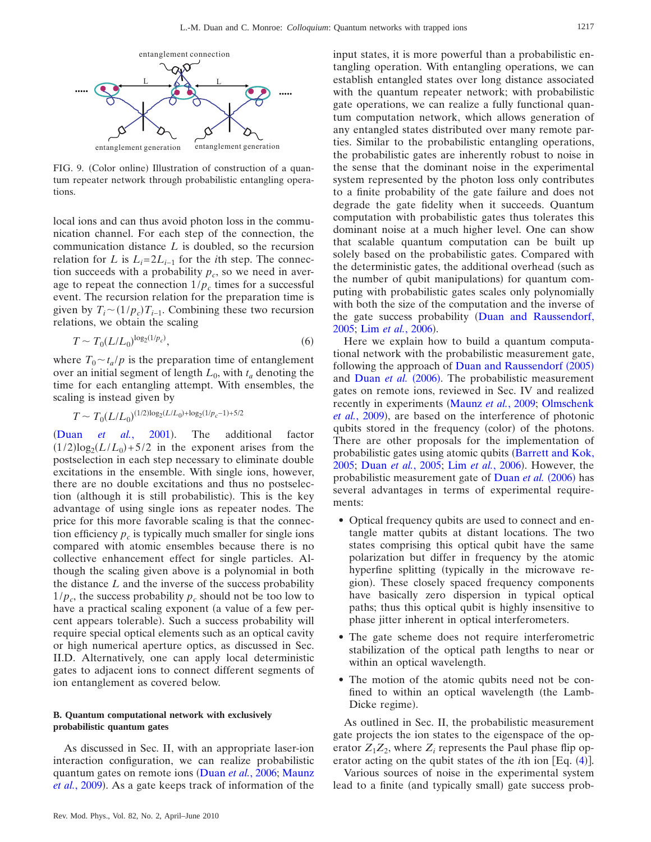<span id="page-9-0"></span>

FIG. 9. (Color online) Illustration of construction of a quantum repeater network through probabilistic entangling operations.

local ions and can thus avoid photon loss in the communication channel. For each step of the connection, the communication distance *L* is doubled, so the recursion relation for *L* is  $L_i = 2L_{i-1}$  for the *i*th step. The connection succeeds with a probability  $p_c$ , so we need in average to repeat the connection  $1/p_c$  times for a successful event. The recursion relation for the preparation time is given by  $T_i \sim (1/p_c) T_{i-1}$ . Combining these two recursion relations, we obtain the scaling

$$
T \sim T_0 (L/L_0)^{\log_2(1/p_c)},\tag{6}
$$

where  $T_0 \sim t_a/p$  is the preparation time of entanglement over an initial segment of length  $L_0$ , with  $t_a$  denoting the time for each entangling attempt. With ensembles, the scaling is instead given by

$$
T \sim T_0 (L/L_0)^{(1/2) \log_2 (L/L_0) + \log_2 (1/p_c - 1) + 5/2}
$$

(Duan *et al.*[, 2001](#page-15-5)). . The additional factor  $(1/2)log_2(L/L_0) + 5/2$  in the exponent arises from the postselection in each step necessary to eliminate double excitations in the ensemble. With single ions, however, there are no double excitations and thus no postselection (although it is still probabilistic). This is the key advantage of using single ions as repeater nodes. The price for this more favorable scaling is that the connection efficiency  $p_c$  is typically much smaller for single ions compared with atomic ensembles because there is no collective enhancement effect for single particles. Although the scaling given above is a polynomial in both the distance *L* and the inverse of the success probability  $1/p_c$ , the success probability  $p_c$  should not be too low to have a practical scaling exponent (a value of a few percent appears tolerable). Such a success probability will require special optical elements such as an optical cavity or high numerical aperture optics, as discussed in Sec. II.D. Alternatively, one can apply local deterministic gates to adjacent ions to connect different segments of ion entanglement as covered below.

## **B. Quantum computational network with exclusively probabilistic quantum gates**

As discussed in Sec. II, with an appropriate laser-ion interaction configuration, we can realize probabilistic quantum gates on remote ions (Duan *et al.*[, 2006;](#page-15-11) [Maunz](#page-16-19) et al.[, 2009](#page-16-19)). As a gate keeps track of information of the

input states, it is more powerful than a probabilistic entangling operation. With entangling operations, we can establish entangled states over long distance associated with the quantum repeater network; with probabilistic gate operations, we can realize a fully functional quantum computation network, which allows generation of any entangled states distributed over many remote parties. Similar to the probabilistic entangling operations, the probabilistic gates are inherently robust to noise in the sense that the dominant noise in the experimental system represented by the photon loss only contributes to a finite probability of the gate failure and does not degrade the gate fidelity when it succeeds. Quantum computation with probabilistic gates thus tolerates this dominant noise at a much higher level. One can show that scalable quantum computation can be built up solely based on the probabilistic gates. Compared with the deterministic gates, the additional overhead (such as the number of qubit manipulations) for quantum computing with probabilistic gates scales only polynomially with both the size of the computation and the inverse of the gate success probability ([Duan and Raussendorf,](#page-15-24) [2005;](#page-15-24) Lim et al.[, 2006](#page-16-27)).

Here we explain how to build a quantum computational network with the probabilistic measurement gate, following the approach of [Duan and Raussendorf](#page-15-24) (2005) and [Duan](#page-15-11) et al. (2006). The probabilistic measurement gates on remote ions, reviewed in Sec. IV and realized recently in experiments ([Maunz](#page-16-19) *et al.*, 2009; [Olmschenk](#page-16-20) et al.[, 2009](#page-16-20)), are based on the interference of photonic qubits stored in the frequency (color) of the photons. There are other proposals for the implementation of probabilistic gates using atomic qubits ([Barrett and Kok,](#page-15-25) [2005;](#page-15-25) Duan *et al.*[, 2005;](#page-15-26) Lim *et al.*[, 2006](#page-16-27)). However, the probabilistic measurement gate of [Duan](#page-15-11) et al. (2006) has several advantages in terms of experimental requirements:

- Optical frequency qubits are used to connect and entangle matter qubits at distant locations. The two states comprising this optical qubit have the same polarization but differ in frequency by the atomic hyperfine splitting (typically in the microwave region). These closely spaced frequency components have basically zero dispersion in typical optical paths; thus this optical qubit is highly insensitive to phase jitter inherent in optical interferometers.
- The gate scheme does not require interferometric stabilization of the optical path lengths to near or within an optical wavelength.
- The motion of the atomic qubits need not be confined to within an optical wavelength (the Lamb-Dicke regime).

As outlined in Sec. II, the probabilistic measurement gate projects the ion states to the eigenspace of the operator  $Z_1Z_2$ , where  $Z_i$  represents the Paul phase flip operator acting on the qubit states of the *i*th ion [Eq. ([4](#page-6-3))].

Various sources of noise in the experimental system lead to a finite (and typically small) gate success prob-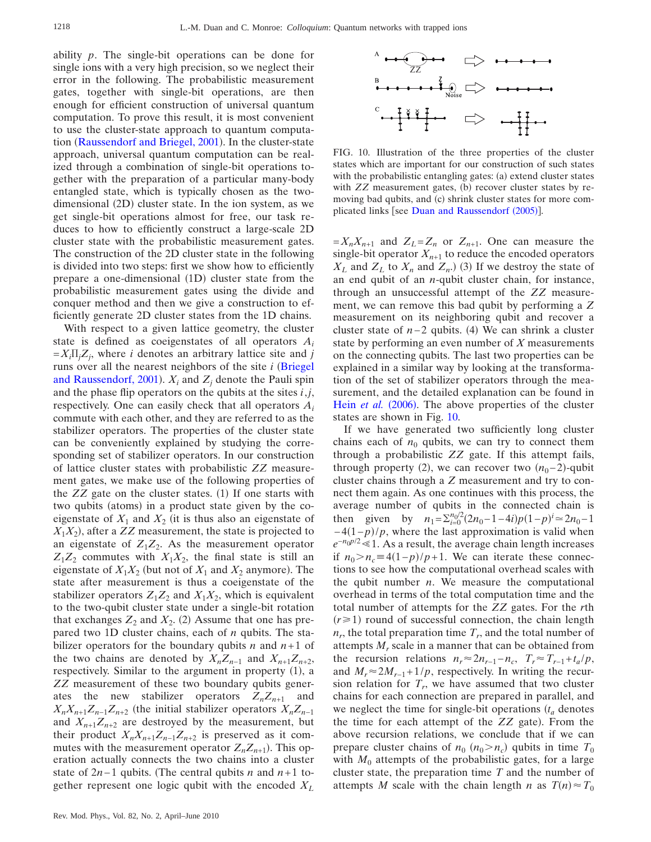ability *p*. The single-bit operations can be done for single ions with a very high precision, so we neglect their error in the following. The probabilistic measurement gates, together with single-bit operations, are then enough for efficient construction of universal quantum computation. To prove this result, it is most convenient to use the cluster-state approach to quantum computa-tion ([Raussendorf and Briegel, 2001](#page-16-28)). In the cluster-state approach, universal quantum computation can be realized through a combination of single-bit operations together with the preparation of a particular many-body entangled state, which is typically chosen as the twodimensional (2D) cluster state. In the ion system, as we get single-bit operations almost for free, our task reduces to how to efficiently construct a large-scale 2D cluster state with the probabilistic measurement gates. The construction of the 2D cluster state in the following is divided into two steps: first we show how to efficiently prepare a one-dimensional (1D) cluster state from the probabilistic measurement gates using the divide and conquer method and then we give a construction to efficiently generate 2D cluster states from the 1D chains.

With respect to a given lattice geometry, the cluster state is defined as coeigenstates of all operators *Ai*  $=X_i \Pi_j Z_j$ , where *i* denotes an arbitrary lattice site and *j* runs over all the nearest neighbors of the site  $i$  ([Briegel](#page-15-27) [and Raussendorf, 2001](#page-15-27)).  $X_i$  and  $Z_j$  denote the Pauli spin and the phase flip operators on the qubits at the sites *i*,*j*, respectively. One can easily check that all operators *Ai* commute with each other, and they are referred to as the stabilizer operators. The properties of the cluster state can be conveniently explained by studying the corresponding set of stabilizer operators. In our construction of lattice cluster states with probabilistic *ZZ* measurement gates, we make use of the following properties of the *ZZ* gate on the cluster states. (1) If one starts with two qubits (atoms) in a product state given by the coeigenstate of  $X_1$  and  $X_2$  (it is thus also an eigenstate of  $X_1X_2$ ), after a  $ZZ$  measurement, the state is projected to an eigenstate of  $Z_1Z_2$ . As the measurement operator  $Z_1Z_2$  commutes with  $X_1X_2$ , the final state is still an eigenstate of  $X_1X_2$  (but not of  $X_1$  and  $X_2$  anymore). The state after measurement is thus a coeigenstate of the stabilizer operators  $Z_1Z_2$  and  $X_1X_2$ , which is equivalent to the two-qubit cluster state under a single-bit rotation that exchanges  $Z_2$  and  $X_2$ . (2) Assume that one has prepared two 1D cluster chains, each of *n* qubits. The stabilizer operators for the boundary qubits  $n$  and  $n+1$  of the two chains are denoted by  $X_n Z_{n-1}$  and  $X_{n+1} Z_{n+2}$ , respectively. Similar to the argument in property (1), a *ZZ* measurement of these two boundary qubits generates the new stabilizer operators  $Z_n Z_{n+1}$  and  $X_n X_{n+1} Z_{n-1} Z_{n+2}$  (the initial stabilizer operators  $X_n Z_{n-1}$ and  $X_{n+1}Z_{n+2}$  are destroyed by the measurement, but their product  $X_n X_{n+1} Z_{n-1} Z_{n+2}$  is preserved as it commutes with the measurement operator  $Z_n Z_{n+1}$ ). This operation actually connects the two chains into a cluster state of  $2n-1$  qubits. (The central qubits *n* and  $n+1$  together represent one logic qubit with the encoded *XL*

<span id="page-10-0"></span>

FIG. 10. Illustration of the three properties of the cluster states which are important for our construction of such states with the probabilistic entangling gates: (a) extend cluster states with ZZ measurement gates, (b) recover cluster states by removing bad qubits, and (c) shrink cluster states for more com-plicated links [see [Duan and Raussendorf](#page-15-24) (2005)].

 $=X_nX_{n+1}$  and  $Z_L = Z_n$  or  $Z_{n+1}$ . One can measure the single-bit operator  $X_{n+1}$  to reduce the encoded operators  $X_L$  and  $Z_L$  to  $X_n$  and  $Z_n$ . (3) If we destroy the state of an end qubit of an *n*-qubit cluster chain, for instance, through an unsuccessful attempt of the *ZZ* measurement, we can remove this bad qubit by performing a *Z* measurement on its neighboring qubit and recover a cluster state of  $n-2$  qubits. (4) We can shrink a cluster state by performing an even number of *X* measurements on the connecting qubits. The last two properties can be explained in a similar way by looking at the transformation of the set of stabilizer operators through the measurement, and the detailed explanation can be found in Hein *[et al.](#page-15-28)* (2006). The above properties of the cluster states are shown in Fig. [10.](#page-10-0)

If we have generated two sufficiently long cluster chains each of  $n_0$  qubits, we can try to connect them through a probabilistic *ZZ* gate. If this attempt fails, through property (2), we can recover two  $(n_0-2)$ -qubit cluster chains through a *Z* measurement and try to connect them again. As one continues with this process, the average number of qubits in the connected chain is then given by  $n_1 = \sum_{i=0}^{n_0/2} (2n_0 - 1 - 4i) p (1 - p)^i \approx 2n_0 - 1$  $-4(1-p)/p$ , where the last approximation is valid when  $e^{-n_0 p/2}$  ≤ 1. As a result, the average chain length increases if  $n_0 > n_c$  ≡ 4(1−*p*)/*p*+1. We can iterate these connections to see how the computational overhead scales with the qubit number *n*. We measure the computational overhead in terms of the total computation time and the total number of attempts for the *ZZ* gates. For the *r*th  $(r \ge 1)$  round of successful connection, the chain length  $n_r$ , the total preparation time  $T_r$ , and the total number of attempts *Mr* scale in a manner that can be obtained from the recursion relations  $n_r \approx 2n_{r-1}-n_c$ ,  $T_r \approx T_{r-1}+t_a/p$ , and  $M_r \approx 2M_{r-1} + 1/p$ , respectively. In writing the recursion relation for  $T_r$ , we have assumed that two cluster chains for each connection are prepared in parallel, and we neglect the time for single-bit operations  $(t_a)$  denotes the time for each attempt of the ZZ gate). From the above recursion relations, we conclude that if we can prepare cluster chains of  $n_0$   $(n_0 > n_c)$  qubits in time  $T_0$ with  $M_0$  attempts of the probabilistic gates, for a large cluster state, the preparation time *T* and the number of attempts *M* scale with the chain length *n* as  $T(n) \approx T_0$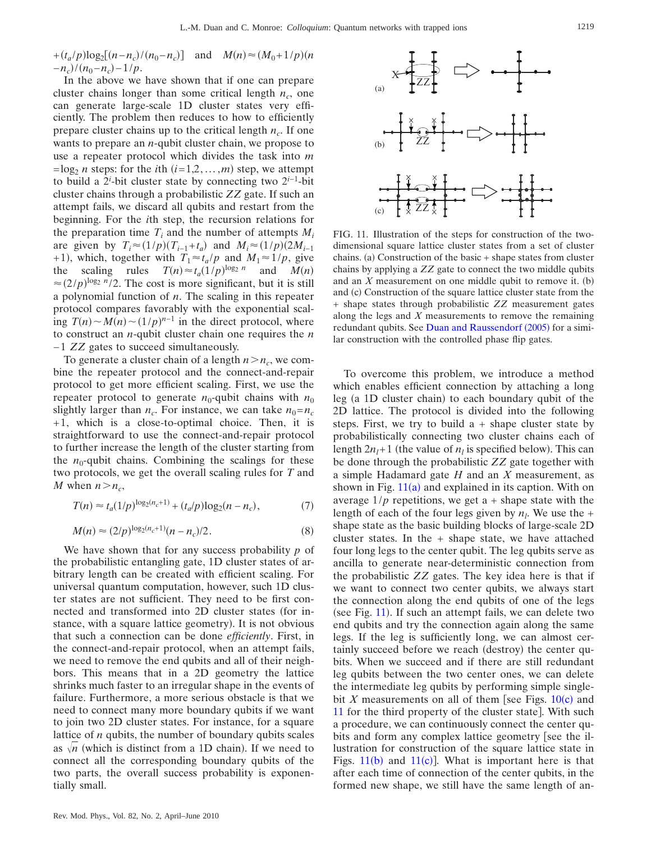*+*( $t_a/p$ )log<sub>2</sub>[( $n - n_c$ )/( $n_0 - n_c$ )] and *M*( $n$ )≈( $M_0 + 1/p$ )( $n$  $-n_c$ )/ $(n_0 - n_c) - 1/p$ .

In the above we have shown that if one can prepare cluster chains longer than some critical length  $n_c$ , one can generate large-scale 1D cluster states very efficiently. The problem then reduces to how to efficiently prepare cluster chains up to the critical length  $n_c$ . If one wants to prepare an *n*-qubit cluster chain, we propose to use a repeater protocol which divides the task into *m*  $=$ log<sub>2</sub> *n* steps: for the *i*th  $(i=1,2,...,m)$  step, we attempt to build a 2*<sup>i</sup>* -bit cluster state by connecting two 2*<sup>i</sup>*−1-bit cluster chains through a probabilistic *ZZ* gate. If such an attempt fails, we discard all qubits and restart from the beginning. For the *i*th step, the recursion relations for the preparation time  $T_i$  and the number of attempts  $M_i$ are given by  $T_i \approx (1/p)(T_{i-1}+t_a)$  and  $M_i \approx (1/p)(2M_{i-1})$ +1), which, together with  $T_1 \approx t_a / p$  and  $M_1 \approx 1 / p$ , give the scaling rules  $T(n) \approx t_a (1/p)^{\log_2 n}$  and  $M(n)$  $\approx (2/p)^{\log_2 n}/2$ . The cost is more significant, but it is still a polynomial function of *n*. The scaling in this repeater protocol compares favorably with the exponential scaling  $T(n) \sim M(n) \sim (1/p)^{n-1}$  in the direct protocol, where to construct an *n*-qubit cluster chain one requires the *n* − 1 *ZZ* gates to succeed simultaneously.

To generate a cluster chain of a length  $n > n_c$ , we combine the repeater protocol and the connect-and-repair protocol to get more efficient scaling. First, we use the repeater protocol to generate  $n_0$ -qubit chains with  $n_0$ slightly larger than  $n_c$ . For instance, we can take  $n_0 = n_c$  $+1$ , which is a close-to-optimal choice. Then, it is straightforward to use the connect-and-repair protocol to further increase the length of the cluster starting from the  $n_0$ -qubit chains. Combining the scalings for these two protocols, we get the overall scaling rules for *T* and *M* when  $n > n_c$ ,

<span id="page-11-2"></span><span id="page-11-1"></span>
$$
T(n) \approx t_a (1/p)^{\log_2(n_c+1)} + (t_a/p) \log_2(n - n_c),\tag{7}
$$

$$
M(n) \approx (2/p)^{\log_2(n_c+1)}(n-n_c)/2.
$$
 (8)

We have shown that for any success probability *p* of the probabilistic entangling gate, 1D cluster states of arbitrary length can be created with efficient scaling. For universal quantum computation, however, such 1D cluster states are not sufficient. They need to be first connected and transformed into 2D cluster states (for instance, with a square lattice geometry). It is not obvious that such a connection can be done *efficiently*. First, in the connect-and-repair protocol, when an attempt fails, we need to remove the end qubits and all of their neighbors. This means that in a 2D geometry the lattice shrinks much faster to an irregular shape in the events of failure. Furthermore, a more serious obstacle is that we need to connect many more boundary qubits if we want to join two 2D cluster states. For instance, for a square lattice of *n* qubits, the number of boundary qubits scales as  $\sqrt{n}$  (which is distinct from a 1D chain). If we need to connect all the corresponding boundary qubits of the two parts, the overall success probability is exponentially small.

<span id="page-11-0"></span>

FIG. 11. Illustration of the steps for construction of the twodimensional square lattice cluster states from a set of cluster chains. (a) Construction of the basic + shape states from cluster chains by applying a *ZZ* gate to connect the two middle qubits and an  $X$  measurement on one middle qubit to remove it.  $(b)$ and (c) Construction of the square lattice cluster state from the + shape states through probabilistic *ZZ* measurement gates along the legs and *X* measurements to remove the remaining redundant qubits. See [Duan and Raussendorf](#page-15-24) (2005) for a similar construction with the controlled phase flip gates.

To overcome this problem, we introduce a method which enables efficient connection by attaching a long leg (a 1D cluster chain) to each boundary qubit of the 2D lattice. The protocol is divided into the following steps. First, we try to build  $a + shape$  cluster state by probabilistically connecting two cluster chains each of length  $2n_l+1$  (the value of  $n_l$  is specified below). This can be done through the probabilistic *ZZ* gate together with a simple Hadamard gate *H* and an *X* measurement, as shown in Fig.  $11(a)$  $11(a)$  and explained in its caption. With on average  $1/p$  repetitions, we get a + shape state with the length of each of the four legs given by  $n_l$ . We use the  $+$ shape state as the basic building blocks of large-scale 2D cluster states. In the  $+$  shape state, we have attached four long legs to the center qubit. The leg qubits serve as ancilla to generate near-deterministic connection from the probabilistic *ZZ* gates. The key idea here is that if we want to connect two center qubits, we always start the connection along the end qubits of one of the legs (see Fig. [11](#page-11-0)). If such an attempt fails, we can delete two end qubits and try the connection again along the same legs. If the leg is sufficiently long, we can almost certainly succeed before we reach (destroy) the center qubits. When we succeed and if there are still redundant leg qubits between the two center ones, we can delete the intermediate leg qubits by performing simple singlebit  $X$  measurements on all of them [see Figs.  $10(c)$  $10(c)$  and [11](#page-11-0) for the third property of the cluster state]. With such a procedure, we can continuously connect the center qubits and form any complex lattice geometry [see the illustration for construction of the square lattice state in Figs.  $11(b)$  $11(b)$  and  $11(c)$ ]. What is important here is that after each time of connection of the center qubits, in the formed new shape, we still have the same length of an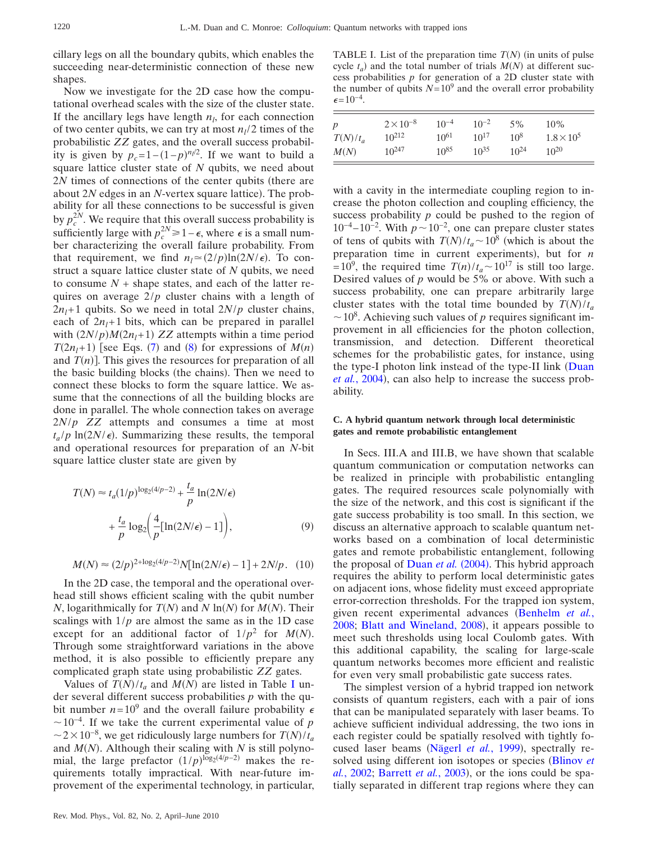cillary legs on all the boundary qubits, which enables the succeeding near-deterministic connection of these new shapes.

Now we investigate for the 2D case how the computational overhead scales with the size of the cluster state. If the ancillary legs have length  $n_l$ , for each connection of two center qubits, we can try at most  $n_l/2$  times of the probabilistic *ZZ* gates, and the overall success probability is given by  $p_c=1-(1-p)^{n_l/2}$ . If we want to build a square lattice cluster state of *N* qubits, we need about 2*N* times of connections of the center qubits (there are about 2N edges in an N-vertex square lattice). The probability for all these connections to be successful is given by  $p_c^{2N}$ . We require that this overall success probability is sufficiently large with  $p_c^{2N} \ge 1 - \epsilon$ , where  $\epsilon$  is a small number characterizing the overall failure probability. From that requirement, we find  $n_l \approx (2/p) \ln(2N/\epsilon)$ . To construct a square lattice cluster state of *N* qubits, we need to consume  $N +$  shape states, and each of the latter requires on average 2/*p* cluster chains with a length of  $2n<sub>l</sub>+1$  qubits. So we need in total  $2N/p$  cluster chains, each of  $2n_1+1$  bits, which can be prepared in parallel with  $(2N/p)M(2n_l+1)ZZ$  attempts within a time period *T*( $2n_l+1$ ) [see Eqs. ([7](#page-11-1)) and ([8](#page-11-2)) for expressions of *M*(*n*) and  $T(n)$ ]. This gives the resources for preparation of all the basic building blocks (the chains). Then we need to connect these blocks to form the square lattice. We assume that the connections of all the building blocks are done in parallel. The whole connection takes on average 2*N*/*p ZZ* attempts and consumes a time at most  $t_a/p \ln(2N/\epsilon)$ . Summarizing these results, the temporal and operational resources for preparation of an *N*-bit square lattice cluster state are given by

$$
T(N) \approx t_a (1/p)^{\log_2(4/p-2)} + \frac{t_a}{p} \ln(2N/\epsilon)
$$

$$
+ \frac{t_a}{p} \log_2 \left(\frac{4}{p} [\ln(2N/\epsilon) - 1] \right), \tag{9}
$$

$$
M(N) \approx (2/p)^{2 + \log_2(4/p - 2)} N[\ln(2N/\epsilon) - 1] + 2N/p. \quad (10)
$$

In the 2D case, the temporal and the operational overhead still shows efficient scaling with the qubit number *N*, logarithmically for  $T(N)$  and  $N \ln(N)$  for  $M(N)$ . Their scalings with  $1/p$  are almost the same as in the 1D case except for an additional factor of  $1/p^2$  for  $M(N)$ . Through some straightforward variations in the above method, it is also possible to efficiently prepare any complicated graph state using probabilistic *ZZ* gates.

Values of  $T(N)/t_a$  and  $M(N)$  are listed in Table [I](#page-12-0) under several different success probabilities *p* with the qubit number  $n=10^9$  and the overall failure probability  $\epsilon$  $\sim$ 10<sup>-4</sup>. If we take the current experimental value of *p*  $\sim$  2 × 10<sup>-8</sup>, we get ridiculously large numbers for  $T(N)/t_a$ and  $M(N)$ . Although their scaling with  $N$  is still polynomial, the large prefactor  $(1/p)^{\log_2(4/p-2)}$  makes the requirements totally impractical. With near-future improvement of the experimental technology, in particular,

<span id="page-12-0"></span>TABLE I. List of the preparation time  $T(N)$  (in units of pulse cycle  $t_a$ ) and the total number of trials  $M(N)$  at different success probabilities *p* for generation of a 2D cluster state with the number of qubits  $N=10^9$  and the overall error probability  $\epsilon = 10^{-4}$ .

|            | $2 \times 10^{-8}$ | $10^{-4}$ | $10^{-2}$ | 5%        | 10%                 |
|------------|--------------------|-----------|-----------|-----------|---------------------|
| $T(N)/t_a$ | $10^{212}$         | $10^{61}$ | $10^{17}$ | $10^{8}$  | $1.8 \times 10^{5}$ |
| M(N)       | $10^{247}$         | $10^{85}$ | $10^{35}$ | $10^{24}$ | $10^{20}$           |

with a cavity in the intermediate coupling region to increase the photon collection and coupling efficiency, the success probability *p* could be pushed to the region of  $10^{-4}$ – $10^{-2}$ . With  $p \sim 10^{-2}$ , one can prepare cluster states of tens of qubits with  $T(N)/t_a \sim 10^8$  (which is about the preparation time in current experiments), but for *n*  $= 10^9$ , the required time  $T(n)/t_a \sim 10^{17}$  is still too large. Desired values of *p* would be 5% or above. With such a success probability, one can prepare arbitrarily large cluster states with the total time bounded by  $T(N)/t_a$  $\sim$  10<sup>8</sup>. Achieving such values of *p* requires significant improvement in all efficiencies for the photon collection, transmission, and detection. Different theoretical schemes for the probabilistic gates, for instance, using the type-I photon link instead of the type-II link ([Duan](#page-15-10) et al.[, 2004](#page-15-10)), can also help to increase the success probability.

# **C. A hybrid quantum network through local deterministic gates and remote probabilistic entanglement**

In Secs. III.A and III.B, we have shown that scalable quantum communication or computation networks can be realized in principle with probabilistic entangling gates. The required resources scale polynomially with the size of the network, and this cost is significant if the gate success probability is too small. In this section, we discuss an alternative approach to scalable quantum networks based on a combination of local deterministic gates and remote probabilistic entanglement, following the proposal of [Duan](#page-15-10) et al. (2004). This hybrid approach requires the ability to perform local deterministic gates on adjacent ions, whose fidelity must exceed appropriate error-correction thresholds. For the trapped ion system, given recent experimental advances ([Benhelm](#page-15-29) *et al.*, [2008;](#page-15-29) [Blatt and Wineland, 2008](#page-15-13)), it appears possible to meet such thresholds using local Coulomb gates. With this additional capability, the scaling for large-scale quantum networks becomes more efficient and realistic for even very small probabilistic gate success rates.

The simplest version of a hybrid trapped ion network consists of quantum registers, each with a pair of ions that can be manipulated separately with laser beams. To achieve sufficient individual addressing, the two ions in each register could be spatially resolved with tightly fo-cused laser beams ([Nägerl](#page-16-29) et al., 1999), spectrally re-solved using different ion isotopes or species ([Blinov](#page-15-30) *et* al.[, 2002;](#page-15-30) [Barrett](#page-15-31) et al., 2003), or the ions could be spatially separated in different trap regions where they can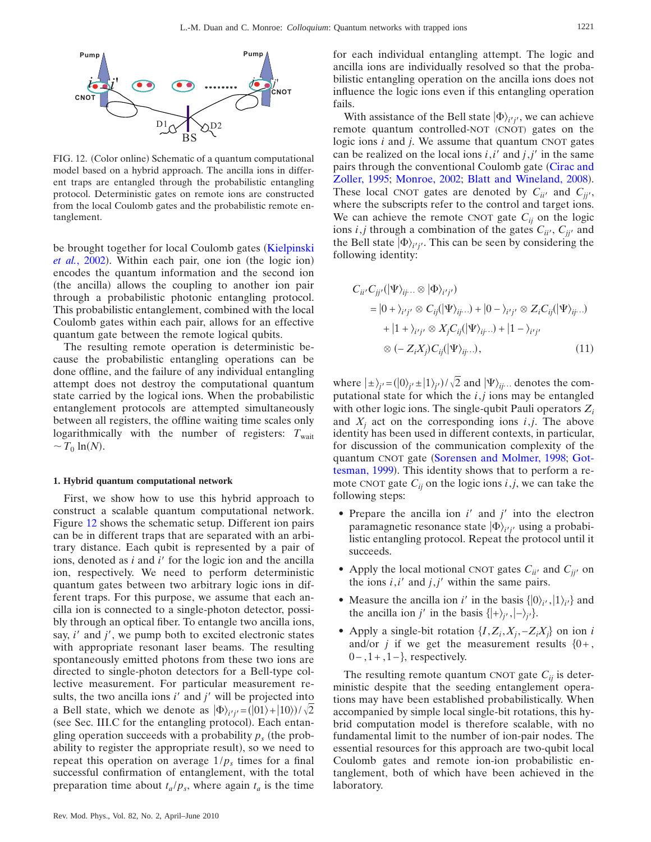<span id="page-13-0"></span>

FIG. 12. (Color online) Schematic of a quantum computational model based on a hybrid approach. The ancilla ions in different traps are entangled through the probabilistic entangling protocol. Deterministic gates on remote ions are constructed from the local Coulomb gates and the probabilistic remote entanglement.

be brought together for local Coulomb gates ([Kielpinski](#page-16-30) et al.[, 2002](#page-16-30)). Within each pair, one ion (the logic ion) encodes the quantum information and the second ion (the ancilla) allows the coupling to another ion pair through a probabilistic photonic entangling protocol. This probabilistic entanglement, combined with the local Coulomb gates within each pair, allows for an effective quantum gate between the remote logical qubits.

The resulting remote operation is deterministic because the probabilistic entangling operations can be done offline, and the failure of any individual entangling attempt does not destroy the computational quantum state carried by the logical ions. When the probabilistic entanglement protocols are attempted simultaneously between all registers, the offline waiting time scales only logarithmically with the number of registers:  $T_{\text{wait}}$  $\sim T_0 \ln(N)$ .

#### **1. Hybrid quantum computational network**

First, we show how to use this hybrid approach to construct a scalable quantum computational network. Figure [12](#page-13-0) shows the schematic setup. Different ion pairs can be in different traps that are separated with an arbitrary distance. Each qubit is represented by a pair of ions, denoted as *i* and *i'* for the logic ion and the ancilla ion, respectively. We need to perform deterministic quantum gates between two arbitrary logic ions in different traps. For this purpose, we assume that each ancilla ion is connected to a single-photon detector, possibly through an optical fiber. To entangle two ancilla ions, say, *i* and *j*, we pump both to excited electronic states with appropriate resonant laser beams. The resulting spontaneously emitted photons from these two ions are directed to single-photon detectors for a Bell-type collective measurement. For particular measurement results, the two ancilla ions  $i'$  and  $j'$  will be projected into a Bell state, which we denote as  $|\Phi\rangle_{i'j'} = (|01\rangle + |10\rangle)/\sqrt{2}$ (see Sec. III.C for the entangling protocol). Each entangling operation succeeds with a probability  $p_s$  (the probability to register the appropriate result), so we need to repeat this operation on average  $1/p_s$  times for a final successful confirmation of entanglement, with the total preparation time about  $t_a/p_s$ , where again  $t_a$  is the time for each individual entangling attempt. The logic and ancilla ions are individually resolved so that the probabilistic entangling operation on the ancilla ions does not influence the logic ions even if this entangling operation fails.

With assistance of the Bell state  $|\Phi\rangle_{i'j'}$ , we can achieve remote quantum controlled-NOT (CNOT) gates on the logic ions *i* and *j*. We assume that quantum CNOT gates can be realized on the local ions  $i$ ,  $i'$  and  $j$ ,  $j'$  in the same pairs through the conventional Coulomb gate [Cirac and](#page-15-12) [Zoller, 1995;](#page-15-12) [Monroe, 2002;](#page-16-31) [Blatt and Wineland, 2008](#page-15-13)). These local CNOT gates are denoted by  $C_{ii'}$  and  $C_{jj'}$ , where the subscripts refer to the control and target ions. We can achieve the remote CNOT gate  $C_{ij}$  on the logic ions *i*,*j* through a combination of the gates  $C_{ii'}$ ,  $C_{jj'}$  and the Bell state  $|\Phi\rangle_{i'j'}$ . This can be seen by considering the following identity:

$$
C_{ii'}C_{jj'}(|\Psi\rangle_{ij\cdots}\otimes|\Phi\rangle_{i'j'})
$$
  
=|0+\rangle\_{i'j'}\otimes C\_{ij}(|\Psi\rangle\_{ij\cdots})+|0-\rangle\_{i'j'}\otimes Z\_iC\_{ij}(|\Psi\rangle\_{ij\cdots})  
+|1+\rangle\_{i'j'}\otimes X\_jC\_{ij}(|\Psi\rangle\_{ij\cdots})+|1-\rangle\_{i'j'}  
\otimes(-Z\_iX\_j)C\_{ij}(|\Psi\rangle\_{ij\cdots}), \qquad (11)

where  $|\pm\rangle_{j'} = (|0\rangle_{j'} \pm |1\rangle_{j'})/\sqrt{2}$  and  $|\Psi\rangle_{ij}$ ... denotes the computational state for which the *i*,*j* ions may be entangled with other logic ions. The single-qubit Pauli operators *Zi* and  $X_i$  act on the corresponding ions  $i, j$ . The above identity has been used in different contexts, in particular, for discussion of the communication complexity of the quantum CNOT gate ([Sorensen and Molmer, 1998;](#page-16-32) [Got](#page-15-32)[tesman, 1999](#page-15-32)). This identity shows that to perform a remote CNOT gate  $C_{ij}$  on the logic ions *i*,*j*, we can take the following steps:

- Prepare the ancilla ion *i'* and *j'* into the electron paramagnetic resonance state  $|\Phi\rangle_{i'j'}$  using a probabilistic entangling protocol. Repeat the protocol until it succeeds.
- Apply the local motional CNOT gates  $C_{ii'}$  and  $C_{jj'}$  on the ions  $i$ , $i'$  and  $j$ , $j'$  within the same pairs.
- Measure the ancilla ion *i*' in the basis  $\{0i_i, 1i_i\}$  and the ancilla ion *j'* in the basis  $\{\ket{+}_{j'}, \ket{-}_{j'}\}$ .
- Apply a single-bit rotation  $\{I, Z_i, X_j, -Z_iX_j\}$  on ion *i* and/or *j* if we get the measurement results  $\{0+, \}$  $0-, 1+, 1-\}$ , respectively.

The resulting remote quantum CNOT gate  $C_{ii}$  is deterministic despite that the seeding entanglement operations may have been established probabilistically. When accompanied by simple local single-bit rotations, this hybrid computation model is therefore scalable, with no fundamental limit to the number of ion-pair nodes. The essential resources for this approach are two-qubit local Coulomb gates and remote ion-ion probabilistic entanglement, both of which have been achieved in the laboratory.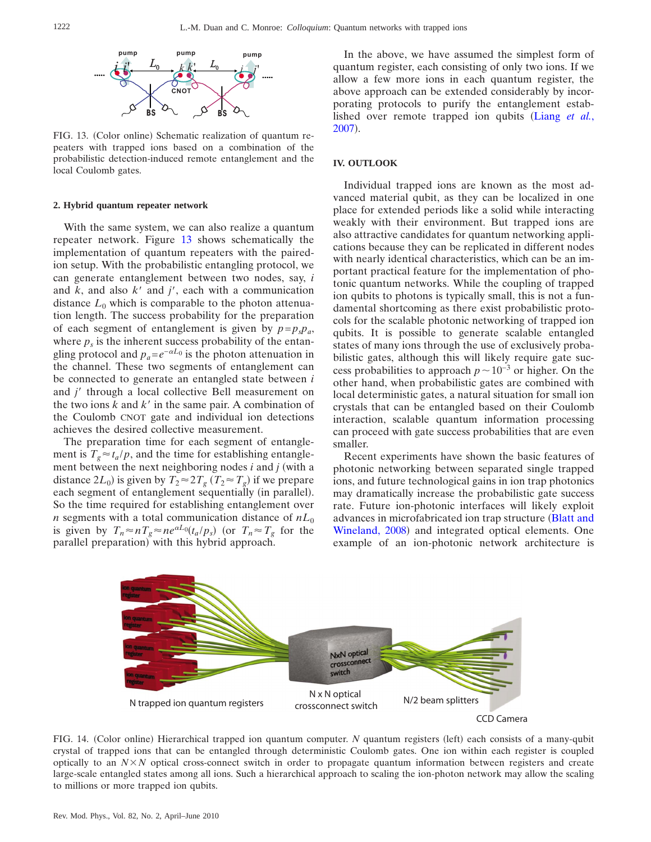<span id="page-14-0"></span>

FIG. 13. (Color online) Schematic realization of quantum repeaters with trapped ions based on a combination of the probabilistic detection-induced remote entanglement and the local Coulomb gates.

#### **2. Hybrid quantum repeater network**

With the same system, we can also realize a quantum repeater network. Figure [13](#page-14-0) shows schematically the implementation of quantum repeaters with the pairedion setup. With the probabilistic entangling protocol, we can generate entanglement between two nodes, say, *i* and  $k$ , and also  $k'$  and  $j'$ , each with a communication distance  $L_0$  which is comparable to the photon attenuation length. The success probability for the preparation of each segment of entanglement is given by  $p = p_s p_a$ , where  $p<sub>s</sub>$  is the inherent success probability of the entangling protocol and  $p_a = e^{-\alpha L_0}$  is the photon attenuation in the channel. These two segments of entanglement can be connected to generate an entangled state between *i* and *j'* through a local collective Bell measurement on the two ions  $k$  and  $k'$  in the same pair. A combination of the Coulomb CNOT gate and individual ion detections achieves the desired collective measurement.

The preparation time for each segment of entanglement is  $T_g \approx t_a/p$ , and the time for establishing entanglement between the next neighboring nodes  $i$  and  $j$  (with a distance  $2L_0$ ) is given by  $T_2 \approx 2T_g$   $(T_2 \approx T_g)$  if we prepare each segment of entanglement sequentially (in parallel). So the time required for establishing entanglement over *n* segments with a total communication distance of  $nL_0$ is given by  $T_n \approx nT_g \approx ne^{\alpha L_0} (t_a/p_s)$  (or  $T_n \approx T_g$  for the parallel preparation) with this hybrid approach.

In the above, we have assumed the simplest form of quantum register, each consisting of only two ions. If we allow a few more ions in each quantum register, the above approach can be extended considerably by incorporating protocols to purify the entanglement estab-lished over remote trapped ion qubits ([Liang](#page-16-33) *et al.*, [2007](#page-16-33)).

## **IV. OUTLOOK**

Individual trapped ions are known as the most advanced material qubit, as they can be localized in one place for extended periods like a solid while interacting weakly with their environment. But trapped ions are also attractive candidates for quantum networking applications because they can be replicated in different nodes with nearly identical characteristics, which can be an important practical feature for the implementation of photonic quantum networks. While the coupling of trapped ion qubits to photons is typically small, this is not a fundamental shortcoming as there exist probabilistic protocols for the scalable photonic networking of trapped ion qubits. It is possible to generate scalable entangled states of many ions through the use of exclusively probabilistic gates, although this will likely require gate success probabilities to approach  $p \sim 10^{-3}$  or higher. On the other hand, when probabilistic gates are combined with local deterministic gates, a natural situation for small ion crystals that can be entangled based on their Coulomb interaction, scalable quantum information processing can proceed with gate success probabilities that are even smaller.

Recent experiments have shown the basic features of photonic networking between separated single trapped ions, and future technological gains in ion trap photonics may dramatically increase the probabilistic gate success rate. Future ion-photonic interfaces will likely exploit advances in microfabricated ion trap structure ([Blatt and](#page-15-13) [Wineland, 2008](#page-15-13)) and integrated optical elements. One example of an ion-photonic network architecture is

<span id="page-14-1"></span>

FIG. 14. (Color online) Hierarchical trapped ion quantum computer. *N* quantum registers (left) each consists of a many-qubit crystal of trapped ions that can be entangled through deterministic Coulomb gates. One ion within each register is coupled optically to an  $N \times N$  optical cross-connect switch in order to propagate quantum information between registers and create large-scale entangled states among all ions. Such a hierarchical approach to scaling the ion-photon network may allow the scaling to millions or more trapped ion qubits.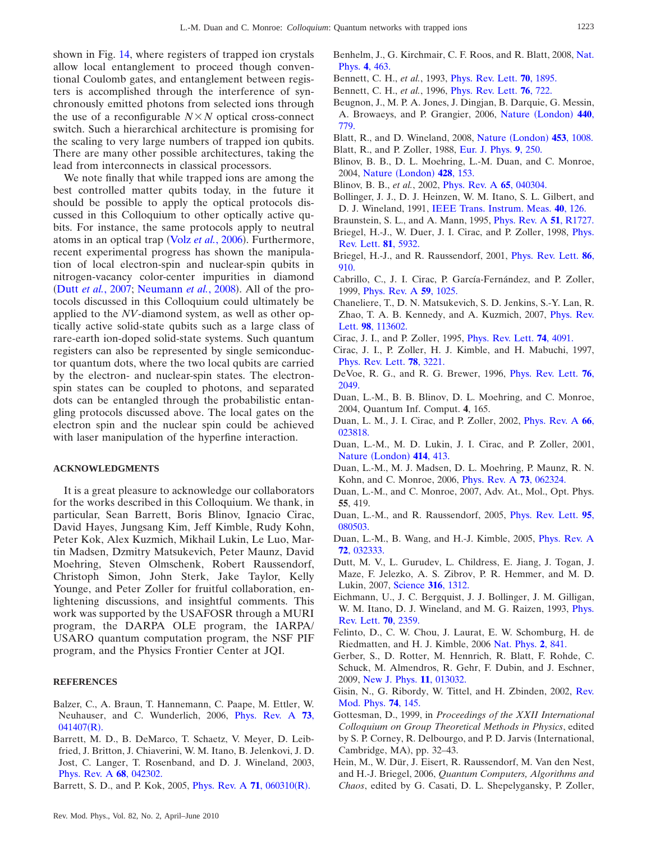shown in Fig. [14,](#page-14-1) where registers of trapped ion crystals allow local entanglement to proceed though conventional Coulomb gates, and entanglement between registers is accomplished through the interference of synchronously emitted photons from selected ions through the use of a reconfigurable  $N \times N$  optical cross-connect switch. Such a hierarchical architecture is promising for the scaling to very large numbers of trapped ion qubits. There are many other possible architectures, taking the lead from interconnects in classical processors.

We note finally that while trapped ions are among the best controlled matter qubits today, in the future it should be possible to apply the optical protocols discussed in this Colloquium to other optically active qubits. For instance, the same protocols apply to neutral atoms in an optical trap (Volz et al.[, 2006](#page-16-34)). Furthermore, recent experimental progress has shown the manipulation of local electron-spin and nuclear-spin qubits in nitrogen-vacancy color-center impurities in diamond (Dutt *et al.*[, 2007;](#page-15-33) [Neumann](#page-16-35) *et al.*, 2008). All of the protocols discussed in this Colloquium could ultimately be applied to the *NV*-diamond system, as well as other optically active solid-state qubits such as a large class of rare-earth ion-doped solid-state systems. Such quantum registers can also be represented by single semiconductor quantum dots, where the two local qubits are carried by the electron- and nuclear-spin states. The electronspin states can be coupled to photons, and separated dots can be entangled through the probabilistic entangling protocols discussed above. The local gates on the electron spin and the nuclear spin could be achieved with laser manipulation of the hyperfine interaction.

# **ACKNOWLEDGMENTS**

It is a great pleasure to acknowledge our collaborators for the works described in this Colloquium. We thank, in particular, Sean Barrett, Boris Blinov, Ignacio Cirac, David Hayes, Jungsang Kim, Jeff Kimble, Rudy Kohn, Peter Kok, Alex Kuzmich, Mikhail Lukin, Le Luo, Martin Madsen, Dzmitry Matsukevich, Peter Maunz, David Moehring, Steven Olmschenk, Robert Raussendorf, Christoph Simon, John Sterk, Jake Taylor, Kelly Younge, and Peter Zoller for fruitful collaboration, enlightening discussions, and insightful comments. This work was supported by the USAFOSR through a MURI program, the DARPA OLE program, the IARPA/ USARO quantum computation program, the NSF PIF program, and the Physics Frontier Center at JQI.

#### <span id="page-15-17"></span>**REFERENCES**

- Balzer, C., A. Braun, T. Hannemann, C. Paape, M. Ettler, W. Neuhauser, and C. Wunderlich, 2006, [Phys. Rev. A](http://dx.doi.org/10.1103/PhysRevA.73.041407) **73**,  $041407(R)$  $041407(R)$ .
- <span id="page-15-31"></span>Barrett, M. D., B. DeMarco, T. Schaetz, V. Meyer, D. Leibfried, J. Britton, J. Chiaverini, W. M. Itano, B. Jelenkovi, J. D. Jost, C. Langer, T. Rosenband, and D. J. Wineland, 2003, [Phys. Rev. A](http://dx.doi.org/10.1103/PhysRevA.68.042302) **68**, 042302.
- <span id="page-15-25"></span>Barrett, S. D., and P. Kok, 2005, *[Phys. Rev. A](http://dx.doi.org/10.1103/PhysRevA.71.060310)* **71**, 060310(*R*).
- <span id="page-15-29"></span><span id="page-15-3"></span>Benhelm, J., G. Kirchmair, C. F. Roos, and R. Blatt, 2008, [Nat.](http://dx.doi.org/10.1038/nphys961) Phys. **4**[, 463.](http://dx.doi.org/10.1038/nphys961)
- <span id="page-15-1"></span>Bennett, C. H., *et al.*, 1993, [Phys. Rev. Lett.](http://dx.doi.org/10.1103/PhysRevLett.70.1895) **70**, 1895.
- <span id="page-15-19"></span>Bennett, C. H., *et al.*, 1996, [Phys. Rev. Lett.](http://dx.doi.org/10.1103/PhysRevLett.76.722) **76**, 722.
- Beugnon, J., M. P. A. Jones, J. Dingjan, B. Darquie, G. Messin, A. Browaeys, and P. Grangier, 2006, Nature ([London](http://dx.doi.org/10.1038/nature04628)) 440, [779.](http://dx.doi.org/10.1038/nature04628)
- <span id="page-15-13"></span><span id="page-15-9"></span>Blatt, R., and D. Wineland, 2008, Nature ([London](http://dx.doi.org/10.1038/nature07125)) 453, 1008.
- <span id="page-15-18"></span>Blatt, R., and P. Zoller, 1988, [Eur. J. Phys.](http://dx.doi.org/10.1088/0143-0807/9/4/002) **9**, 250.
- Blinov, B. B., D. L. Moehring, L.-M. Duan, and C. Monroe, 2004, Nature ([London](http://dx.doi.org/10.1038/nature02377)) **428**, 153.
- <span id="page-15-30"></span><span id="page-15-8"></span>Blinov, B. B., *et al.*, 2002, [Phys. Rev. A](http://dx.doi.org/10.1103/PhysRevA.65.040304) **65**, 040304.
- <span id="page-15-23"></span>Bollinger, J. J., D. J. Heinzen, W. M. Itano, S. L. Gilbert, and D. J. Wineland, 1991, [IEEE Trans. Instrum. Meas.](http://dx.doi.org/10.1109/TIM.1990.1032897) **40**, 126.
- <span id="page-15-0"></span>Braunstein, S. L., and A. Mann, 1995, [Phys. Rev. A](http://dx.doi.org/10.1103/PhysRevA.51.R1727) **51**, R1727.
- Briegel, H.-J., W. Duer, J. I. Cirac, and P. Zoller, 1998, *[Phys.](http://dx.doi.org/10.1103/PhysRevLett.81.5932)* [Rev. Lett.](http://dx.doi.org/10.1103/PhysRevLett.81.5932) **81**, 5932.
- <span id="page-15-27"></span>Briegel, H.-J., and R. Raussendorf, 2001, [Phys. Rev. Lett.](http://dx.doi.org/10.1103/PhysRevLett.86.910) **86**, [910.](http://dx.doi.org/10.1103/PhysRevLett.86.910)
- <span id="page-15-14"></span>Cabrillo, C., J. I. Cirac, P. García-Fernández, and P. Zoller, 1999, [Phys. Rev. A](http://dx.doi.org/10.1103/PhysRevA.59.1025) **59**, 1025.
- <span id="page-15-21"></span>Chaneliere, T., D. N. Matsukevich, S. D. Jenkins, S.-Y. Lan, R. Zhao, T. A. B. Kennedy, and A. Kuzmich, 2007, [Phys. Rev.](http://dx.doi.org/10.1103/PhysRevLett.98.113602) Lett. **98**, [113602.](http://dx.doi.org/10.1103/PhysRevLett.98.113602)
- <span id="page-15-12"></span><span id="page-15-4"></span>Cirac, J. I., and P. Zoller, 1995, [Phys. Rev. Lett.](http://dx.doi.org/10.1103/PhysRevLett.74.4091) **74**, 4091.
- Cirac, J. I., P. Zoller, H. J. Kimble, and H. Mabuchi, 1997, [Phys. Rev. Lett.](http://dx.doi.org/10.1103/PhysRevLett.78.3221) **78**, 3221.
- <span id="page-15-16"></span>DeVoe, R. G., and R. G. Brewer, 1996, [Phys. Rev. Lett.](http://dx.doi.org/10.1103/PhysRevLett.76.2049) **76**, [2049.](http://dx.doi.org/10.1103/PhysRevLett.76.2049)
- <span id="page-15-10"></span>Duan, L.-M., B. B. Blinov, D. L. Moehring, and C. Monroe, 2004, Quantum Inf. Comput. **4**, 165.
- <span id="page-15-7"></span>Duan, L. M., J. I. Cirac, and P. Zoller, 2002, [Phys. Rev. A](http://dx.doi.org/10.1103/PhysRevA.66.023818) **66**, [023818.](http://dx.doi.org/10.1103/PhysRevA.66.023818)
- <span id="page-15-5"></span>Duan, L.-M., M. D. Lukin, J. I. Cirac, and P. Zoller, 2001, Nature ([London](http://dx.doi.org/10.1038/35106500)) 414, 413.
- <span id="page-15-11"></span>Duan, L.-M., M. J. Madsen, D. L. Moehring, P. Maunz, R. N. Kohn, and C. Monroe, 2006, [Phys. Rev. A](http://dx.doi.org/10.1103/PhysRevA.73.062324) **73**, 062324.
- <span id="page-15-6"></span>Duan, L.-M., and C. Monroe, 2007, Adv. At., Mol., Opt. Phys. **55**, 419.
- <span id="page-15-24"></span>Duan, L.-M., and R. Raussendorf, 2005, [Phys. Rev. Lett.](http://dx.doi.org/10.1103/PhysRevLett.95.080503) **95**, [080503.](http://dx.doi.org/10.1103/PhysRevLett.95.080503)
- <span id="page-15-26"></span>Duan, L.-M., B. Wang, and H.-J. Kimble, 2005, [Phys. Rev. A](http://dx.doi.org/10.1103/PhysRevA.72.032333) **72**[, 032333.](http://dx.doi.org/10.1103/PhysRevA.72.032333)
- <span id="page-15-33"></span>Dutt, M. V., L. Gurudev, L. Childress, E. Jiang, J. Togan, J. Maze, F. Jelezko, A. S. Zibrov, P. R. Hemmer, and M. D. Lukin, 2007, [Science](http://dx.doi.org/10.1126/science.1139831) **316**, 1312.
- <span id="page-15-15"></span>Eichmann, U., J. C. Bergquist, J. J. Bollinger, J. M. Gilligan, W. M. Itano, D. J. Wineland, and M. G. Raizen, 1993, [Phys.](http://dx.doi.org/10.1103/PhysRevLett.70.2359) [Rev. Lett.](http://dx.doi.org/10.1103/PhysRevLett.70.2359) **70**, 2359.
- <span id="page-15-20"></span>Felinto, D., C. W. Chou, J. Laurat, E. W. Schomburg, H. de Riedmatten, and H. J. Kimble, 2006 [Nat. Phys.](http://dx.doi.org/10.1038/nphys450) **2**, 841.
- <span id="page-15-22"></span>Gerber, S., D. Rotter, M. Hennrich, R. Blatt, F. Rohde, C. Schuck, M. Almendros, R. Gehr, F. Dubin, and J. Eschner, 2009, [New J. Phys.](http://dx.doi.org/10.1088/1367-2630/11/1/013032) **11**, 013032.
- <span id="page-15-2"></span>Gisin, N., G. Ribordy, W. Tittel, and H. Zbinden, 2002, [Rev.](http://dx.doi.org/10.1103/RevModPhys.74.145) [Mod. Phys.](http://dx.doi.org/10.1103/RevModPhys.74.145) **74**, 145.
- <span id="page-15-32"></span>Gottesman, D., 1999, in *Proceedings of the XXII International Colloquium on Group Theoretical Methods in Physics*, edited by S. P. Corney, R. Delbourgo, and P. D. Jarvis (International, Cambridge, MA), pp. 32-43.
- <span id="page-15-28"></span>Hein, M., W. Dür, J. Eisert, R. Raussendorf, M. Van den Nest, and H.-J. Briegel, 2006, *Quantum Computers, Algorithms and Chaos*, edited by G. Casati, D. L. Shepelygansky, P. Zoller,